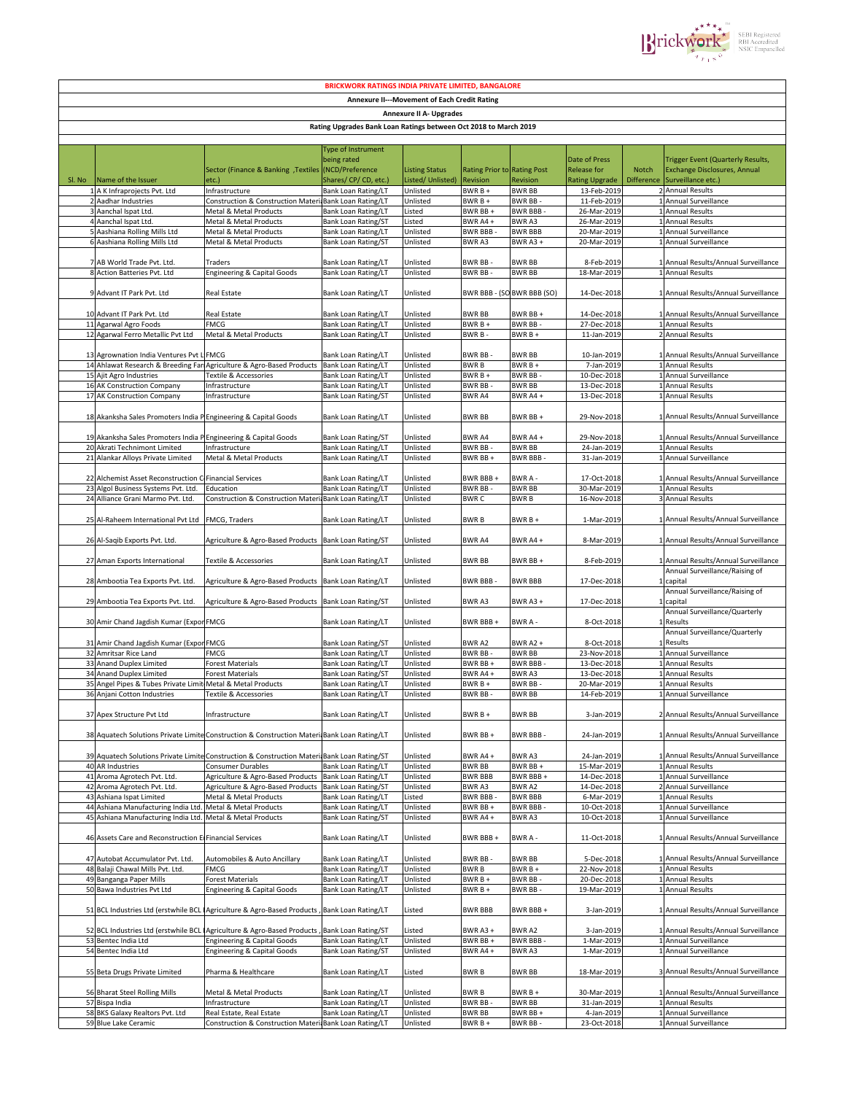

|                                                                  | <b>BRICKWORK RATINGS INDIA PRIVATE LIMITED, BANGALORE</b>         |                                                                                               |                                                   |                                |                             |                                 |                            |                   |                                                                      |  |
|------------------------------------------------------------------|-------------------------------------------------------------------|-----------------------------------------------------------------------------------------------|---------------------------------------------------|--------------------------------|-----------------------------|---------------------------------|----------------------------|-------------------|----------------------------------------------------------------------|--|
| <b>Annexure II---Movement of Each Credit Rating</b>              |                                                                   |                                                                                               |                                                   |                                |                             |                                 |                            |                   |                                                                      |  |
|                                                                  |                                                                   |                                                                                               |                                                   | <b>Annexure II A- Upgrades</b> |                             |                                 |                            |                   |                                                                      |  |
| Rating Upgrades Bank Loan Ratings between Oct 2018 to March 2019 |                                                                   |                                                                                               |                                                   |                                |                             |                                 |                            |                   |                                                                      |  |
|                                                                  |                                                                   |                                                                                               |                                                   |                                |                             |                                 |                            |                   |                                                                      |  |
|                                                                  |                                                                   |                                                                                               | Type of Instrument                                |                                |                             |                                 |                            |                   |                                                                      |  |
|                                                                  |                                                                   |                                                                                               | being rated                                       |                                |                             |                                 | Date of Press              |                   | <b>Trigger Event (Quarterly Results,</b>                             |  |
|                                                                  |                                                                   | Sector (Finance & Banking, Textiles (NCD/Preference                                           |                                                   | <b>Listing Status</b>          | Rating Prior to Rating Post |                                 | <b>Release for</b>         | Notch             | <b>Exchange Disclosures, Annual</b>                                  |  |
| Sl. No                                                           | Name of the Issuer                                                | etc.)                                                                                         | Shares/CP/CD, etc.)                               | Listed/ Unlisted)              | Revision                    | Revision                        | <b>Rating Upgrade</b>      | <b>Difference</b> | Surveillance etc.)                                                   |  |
|                                                                  | 1 A K Infraprojects Pvt. Ltd                                      | Infrastructure                                                                                | <b>Bank Loan Rating/LT</b>                        | Unlisted                       | BWR B +                     | <b>BWR BB</b>                   | 13-Feb-2019                |                   | 2 Annual Results                                                     |  |
|                                                                  | 2 Aadhar Industries                                               | Construction & Construction Materi Bank Loan Rating/LT                                        |                                                   | Unlisted                       | BWR B +                     | BWR BB -                        | 11-Feb-2019                | -1                | Annual Surveillance                                                  |  |
|                                                                  | 3 Aanchal Ispat Ltd.                                              | Metal & Metal Products                                                                        | Bank Loan Rating/LT                               | Listed                         | BWR BB+                     | <b>BWR BBB</b>                  | 26-Mar-2019                |                   | <b>Annual Results</b>                                                |  |
|                                                                  | 4 Aanchal Ispat Ltd.                                              | Metal & Metal Products                                                                        | Bank Loan Rating/ST                               | Listed                         | BWR A4+                     | <b>BWRA3</b>                    | 26-Mar-2019                |                   | <b>Annual Results</b>                                                |  |
|                                                                  | 5 Aashiana Rolling Mills Ltd<br>6 Aashiana Rolling Mills Ltd      | Metal & Metal Products<br>Metal & Metal Products                                              | <b>Bank Loan Rating/LT</b><br>Bank Loan Rating/ST | Unlisted<br>Unlisted           | <b>BWR BBB</b><br>BWR A3    | <b>BWR BBB</b><br>BWR $A3 +$    | 20-Mar-2019<br>20-Mar-2019 |                   | Annual Surveillance<br>1 Annual Surveillance                         |  |
|                                                                  |                                                                   |                                                                                               |                                                   |                                |                             |                                 |                            |                   |                                                                      |  |
|                                                                  | 7 AB World Trade Pvt. Ltd.                                        | Traders                                                                                       | Bank Loan Rating/LT                               | Unlisted                       | BWR BB -                    | <b>BWR BB</b>                   | 8-Feb-2019                 |                   | 1 Annual Results/Annual Surveillance                                 |  |
|                                                                  | 8 Action Batteries Pvt. Ltd                                       | <b>Engineering &amp; Capital Goods</b>                                                        | <b>Bank Loan Rating/LT</b>                        | Unlisted                       | BWR BB-                     | <b>BWR BB</b>                   | 18-Mar-2019                |                   | 1 Annual Results                                                     |  |
|                                                                  |                                                                   |                                                                                               |                                                   |                                |                             |                                 |                            |                   |                                                                      |  |
|                                                                  | 9 Advant IT Park Pvt. Ltd                                         | <b>Real Estate</b>                                                                            | Bank Loan Rating/LT                               | Unlisted                       | BWR BBB - (SO BWR BBB (SO)  |                                 | 14-Dec-2018                |                   | 1 Annual Results/Annual Surveillance                                 |  |
|                                                                  |                                                                   |                                                                                               |                                                   |                                |                             |                                 |                            |                   |                                                                      |  |
|                                                                  | 10 Advant IT Park Pvt. Ltd                                        | Real Estate                                                                                   | <b>Bank Loan Rating/LT</b>                        | Unlisted                       | <b>BWR BB</b>               | BWR BB +                        | 14-Dec-2018                |                   | 1 Annual Results/Annual Surveillance                                 |  |
|                                                                  | 11 Agarwal Agro Foods                                             | FMCG                                                                                          | Bank Loan Rating/LT                               | Unlisted                       | BWR B +                     | BWR BB -                        | 27-Dec-2018                |                   | 1 Annual Results                                                     |  |
|                                                                  | 12 Agarwal Ferro Metallic Pvt Ltd                                 | Metal & Metal Products                                                                        | <b>Bank Loan Rating/LT</b>                        | Unlisted                       | BWR B-                      | BWR B +                         | 11-Jan-2019                |                   | 2 Annual Results                                                     |  |
|                                                                  | 13 Agrownation India Ventures Pvt LIFMCG                          |                                                                                               | Bank Loan Rating/LT                               | Unlisted                       | BWR BB-                     | BWR BB                          | 10-Jan-2019                |                   | 1 Annual Results/Annual Surveillance                                 |  |
|                                                                  |                                                                   | 14 Ahlawat Research & Breeding FariAgriculture & Agro-Based Products                          | <b>Bank Loan Rating/LT</b>                        | Unlisted                       | <b>BWRB</b>                 | $BWRB +$                        | 7-Jan-2019                 |                   | 1 Annual Results                                                     |  |
|                                                                  | 15 Ajit Agro Industries                                           | <b>Textile &amp; Accessories</b>                                                              | Bank Loan Rating/LT                               | Unlisted                       | BWR B +                     | BWR BB                          | 10-Dec-2018                | $\mathbf{1}$      | Annual Surveillance                                                  |  |
|                                                                  | 16 AK Construction Company                                        | Infrastructure                                                                                | Bank Loan Rating/LT                               | Unlisted                       | <b>BWR BB</b>               | <b>BWR BB</b>                   | 13-Dec-2018                |                   | Annual Results                                                       |  |
|                                                                  | 17 AK Construction Company                                        | Infrastructure                                                                                | Bank Loan Rating/ST                               | Unlisted                       | <b>BWRA4</b>                | BWR A4+                         | 13-Dec-2018                |                   | 1 Annual Results                                                     |  |
|                                                                  |                                                                   |                                                                                               |                                                   |                                |                             |                                 |                            |                   |                                                                      |  |
|                                                                  | 18 Akanksha Sales Promoters India P Engineering & Capital Goods   |                                                                                               | Bank Loan Rating/LT                               | Unlisted                       | <b>BWR BB</b>               | BWR BB+                         | 29-Nov-2018                |                   | 1 Annual Results/Annual Surveillance                                 |  |
|                                                                  |                                                                   |                                                                                               |                                                   |                                |                             |                                 |                            |                   |                                                                      |  |
|                                                                  | 19 Akanksha Sales Promoters India P Engineering & Capital Goods   |                                                                                               | Bank Loan Rating/ST                               | Unlisted                       | BWR A4                      | BWR A4+                         | 29-Nov-2018                |                   | 1 Annual Results/Annual Surveillance                                 |  |
|                                                                  | 20 Akrati Technimont Limited<br>21 Alankar Alloys Private Limited | Infrastructure<br>Metal & Metal Products                                                      | Bank Loan Rating/LT<br>Bank Loan Rating/LT        | Unlisted<br>Unlisted           | <b>BWR BB</b><br>BWR BB+    | <b>BWR BB</b><br><b>BWR BBB</b> | 24-Jan-2019<br>31-Jan-2019 |                   | 1 Annual Results<br>1 Annual Surveillance                            |  |
|                                                                  |                                                                   |                                                                                               |                                                   |                                |                             |                                 |                            |                   |                                                                      |  |
|                                                                  | 22 Alchemist Asset Reconstruction C Financial Services            |                                                                                               | Bank Loan Rating/LT                               | Unlisted                       | BWR BBB+                    | BWR A -                         | 17-Oct-2018                |                   | 1 Annual Results/Annual Surveillance                                 |  |
|                                                                  | 23 Algol Business Systems Pvt. Ltd.                               | Education                                                                                     | Bank Loan Rating/LT                               | Unlisted                       | BWR BB-                     | <b>BWR BB</b>                   | 30-Mar-2019                |                   | 1 Annual Results                                                     |  |
|                                                                  | 24 Alliance Grani Marmo Pvt. Ltd.                                 | Construction & Construction Materi Bank Loan Rating/LT                                        |                                                   | Unlisted                       | BWR C                       | <b>BWRB</b>                     | 16-Nov-2018                |                   | 3 Annual Results                                                     |  |
|                                                                  |                                                                   |                                                                                               |                                                   |                                |                             |                                 |                            |                   |                                                                      |  |
|                                                                  | 25 Al-Raheem International Pvt Ltd                                | FMCG, Traders                                                                                 | Bank Loan Rating/LT                               | Unlisted                       | <b>BWRB</b>                 | BWR B +                         | 1-Mar-2019                 |                   | 1 Annual Results/Annual Surveillance                                 |  |
|                                                                  |                                                                   |                                                                                               |                                                   |                                |                             |                                 |                            |                   |                                                                      |  |
|                                                                  | 26 Al-Saqib Exports Pvt. Ltd.                                     | Agriculture & Agro-Based Products Bank Loan Rating/ST                                         |                                                   | Unlisted                       | BWR A4                      | BWR A4+                         | 8-Mar-2019                 |                   | 1 Annual Results/Annual Surveillance                                 |  |
|                                                                  |                                                                   |                                                                                               |                                                   | Unlisted                       | <b>BWR BB</b>               | BWR BB +                        | 8-Feb-2019                 |                   |                                                                      |  |
|                                                                  | 27 Aman Exports International                                     | Textile & Accessories                                                                         | Bank Loan Rating/LT                               |                                |                             |                                 |                            |                   | Annual Results/Annual Surveillance<br>Annual Surveillance/Raising of |  |
|                                                                  | 28 Ambootia Tea Exports Pvt. Ltd.                                 | Agriculture & Agro-Based Products                                                             | Bank Loan Rating/LT                               | Unlisted                       | BWR BBB -                   | <b>BWR BBB</b>                  | 17-Dec-2018                |                   | capital                                                              |  |
|                                                                  |                                                                   |                                                                                               |                                                   |                                |                             |                                 |                            |                   | Annual Surveillance/Raising of                                       |  |
|                                                                  | 29 Ambootia Tea Exports Pvt. Ltd.                                 | Agriculture & Agro-Based Products                                                             | Bank Loan Rating/ST                               | Unlisted                       | BWR A3                      | BWR A3+                         | 17-Dec-2018                |                   | capital                                                              |  |
|                                                                  |                                                                   |                                                                                               |                                                   |                                |                             |                                 |                            |                   | Annual Surveillance/Quarterly                                        |  |
|                                                                  | 30 Amir Chand Jagdish Kumar (ExporFMCG                            |                                                                                               | Bank Loan Rating/LT                               | Unlisted                       | BWR BBB+                    | BWR A -                         | 8-Oct-2018                 |                   | Results                                                              |  |
|                                                                  |                                                                   |                                                                                               |                                                   |                                |                             |                                 |                            |                   | Annual Surveillance/Quarterly                                        |  |
|                                                                  | 31 Amir Chand Jagdish Kumar (Expor FMCG                           |                                                                                               | Bank Loan Rating/ST                               | Unlisted                       | <b>BWRA2</b>                | BWR A2+                         | 8-Oct-2018                 |                   | Results                                                              |  |
|                                                                  | 32 Amritsar Rice Land                                             | <b>FMCG</b>                                                                                   | Bank Loan Rating/LT                               | Unlisted                       | BWR BB-                     | <b>BWR BB</b>                   | 23-Nov-2018                |                   | 1 Annual Surveillance                                                |  |
|                                                                  | 33 Anand Duplex Limited                                           | <b>Forest Materials</b>                                                                       | Bank Loan Rating/LT                               | Unlisted                       | BWR BB+                     | <b>BWR BBB</b><br><b>BWRA3</b>  | 13-Dec-2018                |                   | 1 Annual Results                                                     |  |
|                                                                  | 34 Anand Duplex Limited<br>35 Angel Pipes & Tubes Private Limit   | <b>Forest Materials</b><br>Metal & Metal Products                                             | <b>Bank Loan Rating/ST</b><br>Bank Loan Rating/LT | Unlisted<br>Unlisted           | BWR A4+<br>$BWRB +$         | <b>BWR BB</b>                   | 13-Dec-2018<br>20-Mar-2019 |                   | <b>Annual Results</b><br><b>Annual Results</b>                       |  |
|                                                                  | 36 Anjani Cotton Industries                                       | Textile & Accessories                                                                         | Bank Loan Rating/LT                               | Unlisted                       | BWR BB-                     | <b>BWR BB</b>                   | 14-Feb-2019                |                   | 1 Annual Surveillance                                                |  |
|                                                                  |                                                                   |                                                                                               |                                                   |                                |                             |                                 |                            |                   |                                                                      |  |
|                                                                  | 37 Apex Structure Pvt Ltd                                         | Infrastructure                                                                                | Bank Loan Rating/LT                               | Unlisted                       | $BWRB+$                     | BWR BB                          | 3-Jan-2019                 |                   | 2 Annual Results/Annual Surveillance                                 |  |
|                                                                  |                                                                   |                                                                                               |                                                   |                                |                             |                                 |                            |                   |                                                                      |  |
|                                                                  |                                                                   | 38 Aquatech Solutions Private Limite Construction & Construction Materi Bank Loan Rating/LT   |                                                   | Unlisted                       | BWR BB+                     | BWR BBB -                       | 24-Jan-2019                |                   | 1 Annual Results/Annual Surveillance                                 |  |
|                                                                  |                                                                   |                                                                                               |                                                   |                                |                             |                                 |                            |                   |                                                                      |  |
|                                                                  |                                                                   | 39 Aquatech Solutions Private Limite Construction & Construction Materi Bank Loan Rating/ST   |                                                   | Unlisted                       | BWR A4+                     | <b>BWR A3</b>                   | 24-Jan-2019                |                   | 1 Annual Results/Annual Surveillance                                 |  |
|                                                                  | 40 AR Industries                                                  | Consumer Durables                                                                             | Bank Loan Rating/LT                               | Unlisted                       | <b>BWR BB</b>               | BWR BB +                        | 15-Mar-2019                |                   | 1 Annual Results                                                     |  |
|                                                                  | 41 Aroma Agrotech Pvt. Ltd.                                       | Agriculture & Agro-Based Products                                                             | Bank Loan Rating/LT                               | Unlisted                       | <b>BWR BBB</b>              | BWR BBB +                       | 14-Dec-2018                |                   | 1 Annual Surveillance                                                |  |
|                                                                  | 42 Aroma Agrotech Pvt. Ltd.<br>43 Ashiana Ispat Limited           | Agriculture & Agro-Based Products<br>Metal & Metal Products                                   | <b>Bank Loan Rating/ST</b><br>Bank Loan Rating/LT | Unlisted<br>Listed             | BWR A3<br>BWR BBB-          | <b>BWR A2</b><br><b>BWR BBB</b> | 14-Dec-2018<br>6-Mar-2019  |                   | 2 Annual Surveillance<br>1 Annual Results                            |  |
|                                                                  | 44 Ashiana Manufacturing India Ltd. Metal & Metal Products        |                                                                                               | Bank Loan Rating/LT                               | Unlisted                       | BWR BB+                     | <b>BWR BBB</b>                  | 10-Oct-2018                |                   | 1 Annual Surveillance                                                |  |
|                                                                  | 45 Ashiana Manufacturing India Ltd. Metal & Metal Products        |                                                                                               | Bank Loan Rating/ST                               | Unlisted                       | BWR A4 +                    | BWR A3                          | 10-Oct-2018                |                   | 1 Annual Surveillance                                                |  |
|                                                                  |                                                                   |                                                                                               |                                                   |                                |                             |                                 |                            |                   |                                                                      |  |
|                                                                  | 46 Assets Care and Reconstruction El Financial Services           |                                                                                               | Bank Loan Rating/LT                               | Unlisted                       | BWR BBB+                    | BWR A -                         | 11-Oct-2018                |                   | 1 Annual Results/Annual Surveillance                                 |  |
|                                                                  |                                                                   |                                                                                               |                                                   |                                |                             |                                 |                            |                   |                                                                      |  |
|                                                                  | 47 Autobat Accumulator Pvt. Ltd.                                  | Automobiles & Auto Ancillary                                                                  | Bank Loan Rating/LT                               | Unlisted                       | BWR BB-                     | <b>BWR BB</b>                   | 5-Dec-2018                 |                   | 1 Annual Results/Annual Surveillance                                 |  |
|                                                                  | 48 Balaji Chawal Mills Pvt. Ltd.                                  | <b>FMCG</b>                                                                                   | <b>Bank Loan Rating/LT</b>                        | Unlisted                       | <b>BWRB</b>                 | $BWRB +$                        | 22-Nov-2018                |                   | 1 Annual Results                                                     |  |
|                                                                  | 49 Banganga Paper Mills                                           | <b>Forest Materials</b>                                                                       | Bank Loan Rating/LT                               | Unlisted                       | BWR B +                     | BWR BB -                        | 20-Dec-2018                |                   | 1 Annual Results                                                     |  |
|                                                                  | 50 Bawa Industries Pvt Ltd                                        | <b>Engineering &amp; Capital Goods</b>                                                        | Bank Loan Rating/LT                               | Unlisted                       | BWR B +                     | BWR BB-                         | 19-Mar-2019                |                   | 1 Annual Results                                                     |  |
|                                                                  |                                                                   |                                                                                               |                                                   |                                |                             |                                 |                            |                   |                                                                      |  |
|                                                                  |                                                                   | 51 BCL Industries Ltd (erstwhile BCL IAgriculture & Agro-Based Products , Bank Loan Rating/LT |                                                   | Listed                         | <b>BWR BBB</b>              | BWR BBB +                       | 3-Jan-2019                 |                   | 1 Annual Results/Annual Surveillance                                 |  |
|                                                                  |                                                                   | 52 BCL Industries Ltd (erstwhile BCL IAgriculture & Agro-Based Products,                      | <b>Bank Loan Rating/ST</b>                        | Listed                         | BWR A3+                     | BWR A2                          | 3-Jan-2019                 |                   | 1 Annual Results/Annual Surveillance                                 |  |
|                                                                  | 53 Bentec India Ltd                                               | <b>Engineering &amp; Capital Goods</b>                                                        | <b>Bank Loan Rating/LT</b>                        | Unlisted                       | BWR BB+                     | <b>BWR BBB</b>                  | 1-Mar-2019                 |                   | 1 Annual Surveillance                                                |  |
|                                                                  | 54 Bentec India Ltd                                               | Engineering & Capital Goods                                                                   | Bank Loan Rating/ST                               | Unlisted                       | BWR A4+                     | BWR A3                          | 1-Mar-2019                 |                   | 1 Annual Surveillance                                                |  |
|                                                                  |                                                                   |                                                                                               |                                                   |                                |                             |                                 |                            |                   |                                                                      |  |
|                                                                  | 55 Beta Drugs Private Limited                                     | Pharma & Healthcare                                                                           | <b>Bank Loan Rating/LT</b>                        | Listed                         | BWR B                       | BWR BB                          | 18-Mar-2019                |                   | 3 Annual Results/Annual Surveillance                                 |  |
|                                                                  |                                                                   |                                                                                               |                                                   |                                |                             |                                 |                            |                   |                                                                      |  |
|                                                                  | 56 Bharat Steel Rolling Mills                                     | Metal & Metal Products                                                                        | Bank Loan Rating/LT                               | Unlisted                       | <b>BWRB</b>                 | BWR B +                         | 30-Mar-2019                |                   | 1 Annual Results/Annual Surveillance                                 |  |
|                                                                  | 57 Bispa India                                                    | Infrastructure                                                                                | Bank Loan Rating/LT                               | Unlisted                       | BWR BB                      | <b>BWR BB</b>                   | 31-Jan-2019                |                   | 1 Annual Results                                                     |  |
|                                                                  | 58 BKS Galaxy Realtors Pvt. Ltd                                   | Real Estate, Real Estate                                                                      | Bank Loan Rating/LT                               | Unlisted                       | <b>BWR BB</b>               | BWR BB +                        | 4-Jan-2019                 |                   | 1 Annual Surveillance                                                |  |
|                                                                  | 59 Blue Lake Ceramic                                              | Construction & Construction Materi Bank Loan Rating/LT                                        |                                                   | Unlisted                       | BWR B +                     | BWR BB -                        | 23-Oct-2018                |                   | 1 Annual Surveillance                                                |  |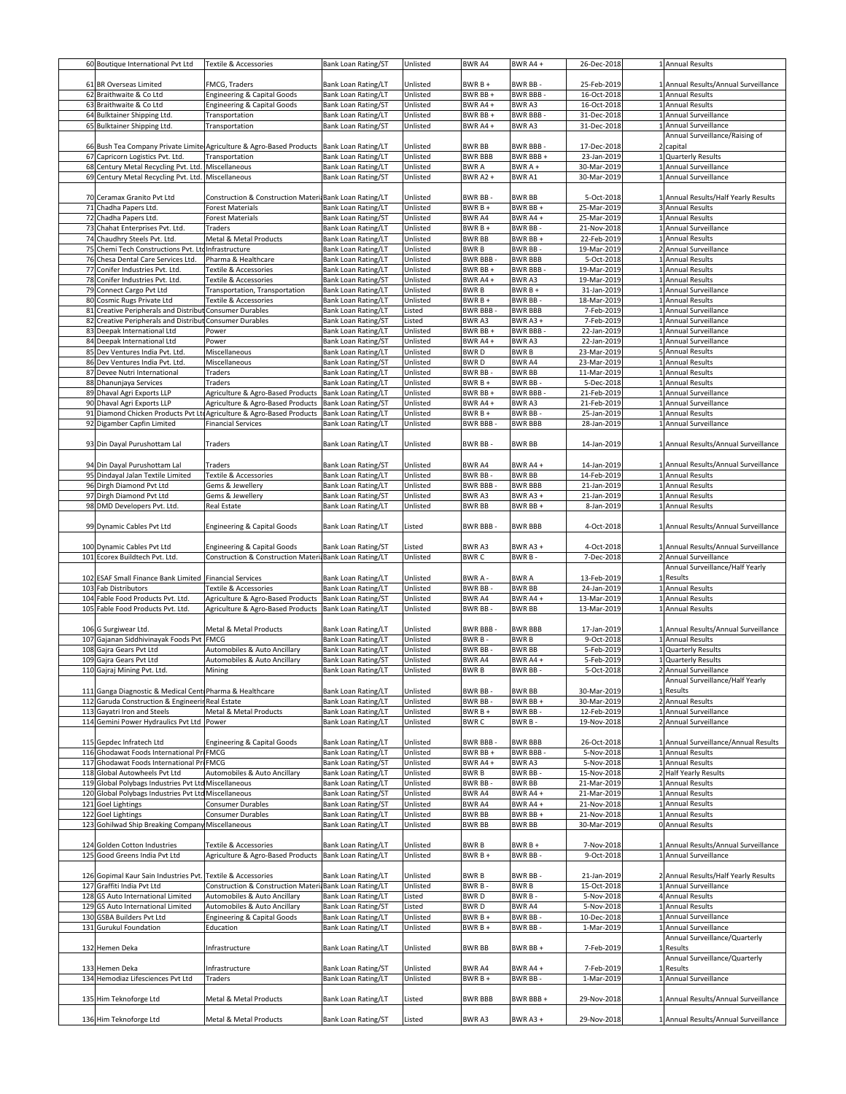|    | 60 Boutique International Pvt Ltd                                                                        | <b>Textile &amp; Accessories</b>                                                                          | Bank Loan Rating/ST                                      | Unlisted             | <b>BWR A4</b>                   | BWR A4+                         | 26-Dec-2018                | 1 Annual Results                             |
|----|----------------------------------------------------------------------------------------------------------|-----------------------------------------------------------------------------------------------------------|----------------------------------------------------------|----------------------|---------------------------------|---------------------------------|----------------------------|----------------------------------------------|
|    |                                                                                                          |                                                                                                           |                                                          |                      |                                 |                                 |                            |                                              |
|    | 61 BR Overseas Limited                                                                                   | FMCG, Traders                                                                                             | Bank Loan Rating/LT                                      | Unlisted             | BWR B +                         | <b>BWR BB-</b>                  | 25-Feb-2019                | 1 Annual Results/Annual Surveillance         |
|    | 62 Braithwaite & Co Ltd                                                                                  | Engineering & Capital Goods                                                                               | Bank Loan Rating/LT                                      | Unlisted             | BWR BB +                        | <b>BWR BBB</b>                  | 16-Oct-2018                | 1 Annual Results                             |
|    | 63 Braithwaite & Co Ltd                                                                                  | <b>Engineering &amp; Capital Goods</b>                                                                    | <b>Bank Loan Rating/ST</b>                               | Unlisted             | BWR A4+                         | <b>BWRA3</b>                    | 16-Oct-2018                | 1 Annual Results                             |
|    | 64 Bulktainer Shipping Ltd.                                                                              | Transportation                                                                                            | Bank Loan Rating/LT                                      | Unlisted             | BWR BB +                        | <b>BWR BBB</b>                  | 31-Dec-2018                | 1 Annual Surveillance                        |
|    | 65 Bulktainer Shipping Ltd.                                                                              | Transportation                                                                                            | Bank Loan Rating/ST                                      | Unlisted             | BWR A4+                         | <b>BWR A3</b>                   | 31-Dec-2018                | 1 Annual Surveillance                        |
|    |                                                                                                          |                                                                                                           |                                                          |                      |                                 |                                 |                            | Annual Surveillance/Raising of               |
|    |                                                                                                          | 66 Bush Tea Company Private Limite Agriculture & Agro-Based Products                                      | <b>Bank Loan Rating/LT</b>                               | Unlisted<br>Unlisted | <b>BWR BB</b><br><b>BWR BBB</b> | <b>BWR BBB-</b><br>BWR BBB+     | 17-Dec-2018<br>23-Jan-2019 | 2 capital                                    |
|    | 67 Capricorn Logistics Pvt. Ltd.                                                                         | Transportation                                                                                            | Bank Loan Rating/LT<br>Bank Loan Rating/LT               | Unlisted             | <b>BWRA</b>                     | BWR A +                         | 30-Mar-2019                | 1 Quarterly Results<br>1 Annual Surveillance |
|    | 68 Century Metal Recycling Pvt. Ltd. Miscellaneous<br>69 Century Metal Recycling Pvt. Ltd. Miscellaneous |                                                                                                           | <b>Bank Loan Rating/ST</b>                               | Unlisted             | <b>BWR A2 +</b>                 | <b>BWRA1</b>                    | 30-Mar-2019                | 1 Annual Surveillance                        |
|    |                                                                                                          |                                                                                                           |                                                          |                      |                                 |                                 |                            |                                              |
|    | 70 Ceramax Granito Pvt Ltd                                                                               | Construction & Construction Materi Bank Loan Rating/LT                                                    |                                                          | Unlisted             | BWR BB-                         | <b>BWR BB</b>                   | 5-Oct-2018                 | 1 Annual Results/Half Yearly Results         |
|    | 71 Chadha Papers Ltd.                                                                                    | Forest Materials                                                                                          | Bank Loan Rating/LT                                      | Unlisted             | BWR B +                         | BWR BB+                         | 25-Mar-2019                | 3 Annual Results                             |
|    | 72 Chadha Papers Ltd.                                                                                    | Forest Materials                                                                                          | Bank Loan Rating/ST                                      | Unlisted             | <b>BWR A4</b>                   | BWR A4+                         | 25-Mar-2019                | 1 Annual Results                             |
|    | 73 Chahat Enterprises Pvt. Ltd.                                                                          | Traders                                                                                                   | Bank Loan Rating/LT                                      | Unlisted             | BWR B +                         | BWR BB-                         | 21-Nov-2018                | 1 Annual Surveillance                        |
|    | 74 Chaudhry Steels Pvt. Ltd.                                                                             | Metal & Metal Products                                                                                    | Bank Loan Rating/LT                                      | Unlisted             | <b>BWR BB</b>                   | BWR BB+                         | 22-Feb-2019                | 1 Annual Results                             |
|    | 75 Chemi Tech Constructions Pvt. LtdInfrastructure                                                       |                                                                                                           | Bank Loan Rating/LT                                      | Unlisted             | <b>BWRB</b>                     | <b>BWR BB</b>                   | 19-Mar-2019                | 2 Annual Surveillance                        |
|    | 76 Chesa Dental Care Services Ltd.                                                                       | Pharma & Healthcare                                                                                       | <b>Bank Loan Rating/LT</b>                               | Unlisted             | <b>BWR BBB</b>                  | <b>BWR BBB</b>                  | 5-Oct-2018                 | 1 Annual Results                             |
|    | 77 Conifer Industries Pvt. Ltd.                                                                          | Textile & Accessories                                                                                     | Bank Loan Rating/LT                                      | Unlisted             | BWR BB+                         | <b>BWR BBB</b>                  | 19-Mar-2019                | 1 Annual Results                             |
| 78 | Conifer Industries Pvt. Ltd.                                                                             | Textile & Accessories                                                                                     | Bank Loan Rating/ST                                      | Unlisted             | BWR A4+                         | BWR A3                          | 19-Mar-2019                | 1 Annual Results                             |
|    | 79 Connect Cargo Pvt Ltd                                                                                 | Transportation, Transportation                                                                            | Bank Loan Rating/LT                                      | Unlisted             | <b>BWRB</b>                     | BWR B +                         | 31-Jan-2019                | 1 Annual Surveillance                        |
|    | 80 Cosmic Rugs Private Ltd                                                                               | Textile & Accessories                                                                                     | Bank Loan Rating/LT                                      | Unlisted             | BWR B +                         | BWR BB-                         | 18-Mar-2019                | 1 Annual Results                             |
|    | 81 Creative Peripherals and Distribut                                                                    | Consumer Durables                                                                                         | Bank Loan Rating/LT                                      | Listed               | <b>BWR BBB</b>                  | <b>BWR BBB</b>                  | 7-Feb-2019                 | 1 Annual Surveillance                        |
| 82 | Creative Peripherals and Distribut                                                                       | Consumer Durables                                                                                         | Bank Loan Rating/ST                                      | Listed               | BWR A3                          | BWR A3+                         | 7-Feb-2019                 | 1 Annual Surveillance                        |
|    | 83 Deepak International Ltd                                                                              | Power                                                                                                     | Bank Loan Rating/LT                                      | Unlisted             | BWR BB+                         | <b>BWR BBB</b>                  | 22-Jan-2019                | 1 Annual Surveillance                        |
|    | 84 Deepak International Ltd                                                                              | Power                                                                                                     | Bank Loan Rating/ST                                      | Unlisted             | BWR A4+                         | <b>BWRA3</b>                    | 22-Jan-2019                | 1 Annual Surveillance                        |
|    | 85 Dev Ventures India Pvt. Ltd                                                                           | Miscellaneous                                                                                             | Bank Loan Rating/LT                                      | Unlisted             | <b>BWRD</b>                     | <b>BWRB</b>                     | 23-Mar-2019                | 5 Annual Results                             |
|    | 86 Dev Ventures India Pvt. Ltd                                                                           | Miscellaneous                                                                                             | <b>Bank Loan Rating/ST</b>                               | Unlisted             | <b>BWRD</b>                     | <b>BWR A4</b>                   | 23-Mar-2019                | 1 Annual Results                             |
|    | 87 Devee Nutri International                                                                             | Traders                                                                                                   | Bank Loan Rating/LT                                      | Unlisted             | <b>BWR BB</b>                   | <b>BWR BB</b>                   | 11-Mar-2019                | 1 Annual Results                             |
|    | 88 Dhanunjaya Services                                                                                   | Traders                                                                                                   | <b>Bank Loan Rating/LT</b>                               | Unlisted             | BWR B +                         | <b>BWR BB</b>                   | 5-Dec-2018                 | 1 Annual Results                             |
|    | 89 Dhaval Agri Exports LLP                                                                               | Agriculture & Agro-Based Products                                                                         | Bank Loan Rating/LT                                      | Unlisted             | BWR BB+                         | <b>BWR BBB</b>                  | 21-Feb-2019                | 1 Annual Surveillance                        |
|    | 90 Dhaval Agri Exports LLP                                                                               | Agriculture & Agro-Based Products<br>91 Diamond Chicken Products Pvt LtdAgriculture & Agro-Based Products | <b>Bank Loan Rating/ST</b><br><b>Bank Loan Rating/LT</b> | Unlisted<br>Unlisted | BWR A4+<br>BWR B +              | <b>BWRA3</b><br><b>BWR BB-</b>  | 21-Feb-2019<br>25-Jan-2019 | 1 Annual Surveillance<br>1 Annual Results    |
|    | 92 Digamber Capfin Limited                                                                               |                                                                                                           | <b>Bank Loan Rating/LT</b>                               | Unlisted             | <b>BWR BBB</b>                  | <b>BWR BBB</b>                  | 28-Jan-2019                | 1 Annual Surveillance                        |
|    |                                                                                                          | <b>Financial Services</b>                                                                                 |                                                          |                      |                                 |                                 |                            |                                              |
|    |                                                                                                          | Traders                                                                                                   | Bank Loan Rating/LT                                      | Unlisted             | <b>BWR BB-</b>                  | <b>BWR BB</b>                   | 14-Jan-2019                | 1 Annual Results/Annual Surveillance         |
|    | 93 Din Dayal Purushottam Lal                                                                             |                                                                                                           |                                                          |                      |                                 |                                 |                            |                                              |
|    | 94 Din Dayal Purushottam Lal                                                                             |                                                                                                           |                                                          | Unlisted             | BWR A4                          | BWR A4+                         | 14-Jan-2019                | 1 Annual Results/Annual Surveillance         |
|    | 95 Dindayal Jalan Textile Limited                                                                        | Traders<br>Textile & Accessories                                                                          | Bank Loan Rating/ST<br>Bank Loan Rating/LT               | Unlisted             | <b>BWR BB-</b>                  | <b>BWR BB</b>                   | 14-Feb-2019                | 1 Annual Results                             |
|    | 96 Dirgh Diamond Pvt Ltd                                                                                 | Gems & Jewellery                                                                                          | Bank Loan Rating/LT                                      | Unlisted             | <b>BWR BBB</b>                  | <b>BWR BBB</b>                  | 21-Jan-2019                | 1 Annual Results                             |
|    | 97 Dirgh Diamond Pvt Ltd                                                                                 | Gems & Jewellery                                                                                          | Bank Loan Rating/ST                                      | Unlisted             | BWR A3                          | BWR A3+                         | 21-Jan-2019                | 1 Annual Results                             |
|    | 98 DMD Developers Pvt. Ltd.                                                                              | Real Estate                                                                                               | Bank Loan Rating/LT                                      | Unlisted             | <b>BWR BB</b>                   | BWR BB+                         | 8-Jan-2019                 | 1 Annual Results                             |
|    |                                                                                                          |                                                                                                           |                                                          |                      |                                 |                                 |                            |                                              |
|    | 99 Dynamic Cables Pvt Ltd                                                                                | Engineering & Capital Goods                                                                               | Bank Loan Rating/LT                                      | Listed               | <b>BWR BBB-</b>                 | <b>BWR BBB</b>                  | 4-Oct-2018                 | 1 Annual Results/Annual Surveillance         |
|    |                                                                                                          |                                                                                                           |                                                          |                      |                                 |                                 |                            |                                              |
|    | 100 Dynamic Cables Pvt Ltd                                                                               | Engineering & Capital Goods                                                                               | Bank Loan Rating/ST                                      | Listed               | <b>BWRA3</b>                    | <b>BWR A3+</b>                  | 4-Oct-2018                 | 1 Annual Results/Annual Surveillance         |
|    | 101 Ecorex Buildtech Pvt. Ltd.                                                                           | Construction & Construction Materi                                                                        | <b>Bank Loan Rating/LT</b>                               | Unlisted             | <b>BWRC</b>                     | BWR B-                          | 7-Dec-2018                 | 2 Annual Surveillance                        |
|    |                                                                                                          |                                                                                                           |                                                          |                      |                                 |                                 |                            | Annual Surveillance/Half Yearly              |
|    | 102 ESAF Small Finance Bank Limited Financial Services                                                   |                                                                                                           | Bank Loan Rating/LT                                      | Unlisted             | <b>BWRA-</b>                    | <b>BWRA</b>                     | 13-Feb-2019                | 1 Results                                    |
|    | 103 Fab Distributors                                                                                     | Textile & Accessories                                                                                     | Bank Loan Rating/LT                                      | Unlisted             | <b>BWR BB</b>                   | <b>BWR BB</b>                   | 24-Jan-2019                | 1 Annual Results                             |
|    | 104 Fable Food Products Pvt. Ltd.                                                                        | Agriculture & Agro-Based Products                                                                         | <b>Bank Loan Rating/ST</b>                               | Unlisted             | BWR A4                          | BWR A4+                         | 13-Mar-2019                | 1 Annual Results                             |
|    |                                                                                                          | Agriculture & Agro-Based Products                                                                         |                                                          | Unlisted             | BWR BB-                         | <b>BWR BB</b>                   | 13-Mar-2019                |                                              |
|    | 105 Fable Food Products Pvt. Ltd.                                                                        |                                                                                                           | Bank Loan Rating/LT                                      |                      |                                 |                                 |                            | 1 Annual Results                             |
|    |                                                                                                          |                                                                                                           |                                                          |                      |                                 |                                 |                            |                                              |
|    | 106 G Surgiwear Ltd.                                                                                     | Metal & Metal Products                                                                                    | Bank Loan Rating/LT                                      | Unlisted             | <b>BWR BBB-</b>                 | <b>BWR BBB</b>                  | 17-Jan-2019                | 1 Annual Results/Annual Surveillance         |
|    | 107 Gajanan Siddhivinayak Foods Pvt FMCG                                                                 |                                                                                                           | <b>Bank Loan Rating/LT</b>                               | Unlisted             | BWR B-                          | <b>BWRB</b>                     | 9-Oct-2018                 | 1 Annual Results                             |
|    | 108 Gajra Gears Pvt Ltd                                                                                  | Automobiles & Auto Ancillary                                                                              | Bank Loan Rating/LT                                      | Unlisted             | BWR BB-                         | <b>BWR BB</b>                   | 5-Feb-2019                 | Quarterly Results                            |
|    | 109 Gajra Gears Pvt Ltd                                                                                  | Automobiles & Auto Ancillary                                                                              | <b>Bank Loan Rating/ST</b>                               | Unlisted             | <b>BWRA4</b>                    | BWR A4+                         | 5-Feb-2019                 | 1 Quarterly Results                          |
|    | 110 Gajraj Mining Pvt. Ltd.                                                                              | Mining                                                                                                    | Bank Loan Rating/LT                                      | Unlisted             | <b>BWRB</b>                     | BWR BB-                         | 5-Oct-2018                 | 2 Annual Surveillance                        |
|    |                                                                                                          |                                                                                                           |                                                          |                      |                                 |                                 |                            | Annual Surveillance/Half Yearly              |
|    | 111 Ganga Diagnostic & Medical CentrPharma & Healthcare                                                  |                                                                                                           | Bank Loan Rating/LT                                      | Unlisted             | BWR BB-                         | <b>BWR BB</b>                   | 30-Mar-2019                | 1 Results                                    |
|    | 112 Garuda Construction & Engineerin Real Estate                                                         |                                                                                                           | <b>Bank Loan Rating/LT</b>                               | Unlisted             | <b>BWR BB</b>                   | BWR BB+                         | 30-Mar-2019                | 2 Annual Results                             |
|    | 113 Gayatri Iron and Steels                                                                              | Metal & Metal Products                                                                                    | Bank Loan Rating/LT                                      | Unlisted             | BWR B +                         | BWR BB-                         | 12-Feb-2019                | 1 Annual Surveillance                        |
|    | 114 Gemini Power Hydraulics Pvt Ltd                                                                      | Power                                                                                                     | Bank Loan Rating/LT                                      | Unlisted             | <b>BWRC</b>                     | BWR B-                          | 19-Nov-2018                | 2 Annual Surveillance                        |
|    |                                                                                                          |                                                                                                           |                                                          |                      |                                 |                                 |                            |                                              |
|    | 115 Gepdec Infratech Ltd                                                                                 | Engineering & Capital Goods                                                                               | <b>Bank Loan Rating/LT</b>                               | Unlisted             | BWR BBB-                        | <b>BWR BBB</b>                  | 26-Oct-2018                | 1 Annual Surveillance/Annual Results         |
|    | 116 Ghodawat Foods International Pr<br>117 Ghodawat Foods International Pri FMCG                         | FMCG                                                                                                      | Bank Loan Rating/LT<br>Bank Loan Rating/ST               | Unlisted<br>Unlisted | BWR BB+<br>BWR A4+              | <b>BWR BBB</b><br><b>BWR A3</b> | 5-Nov-2018<br>5-Nov-2018   | 1 Annual Results<br>1 Annual Results         |
|    | 118 Global Autowheels Pvt Ltd                                                                            | Automobiles & Auto Ancillary                                                                              | Bank Loan Rating/LT                                      | Unlisted             | <b>BWRB</b>                     | BWR BB-                         | 15-Nov-2018                | 2 Half Yearly Results                        |
|    | 119 Global Polybags Industries Pvt Ltd Miscellaneous                                                     |                                                                                                           | <b>Bank Loan Rating/LT</b>                               | Unlisted             | BWR BB-                         | <b>BWR BB</b>                   | 21-Mar-2019                | 1 Annual Results                             |
|    | 120 Global Polybags Industries Pvt Ltd Miscellaneous                                                     |                                                                                                           | Bank Loan Rating/ST                                      | Unlisted             | BWR A4                          | BWR A4+                         | 21-Mar-2019                | 1 Annual Results                             |
|    | 121 Goel Lightings                                                                                       | Consumer Durables                                                                                         | Bank Loan Rating/ST                                      | Unlisted             | BWR A4                          | BWR A4+                         | 21-Nov-2018                | 1 Annual Results                             |
|    | 122 Goel Lightings                                                                                       | Consumer Durables                                                                                         | <b>Bank Loan Rating/LT</b>                               | Unlisted             | <b>BWR BB</b>                   | BWR BB +                        | 21-Nov-2018                | 1 Annual Results                             |
|    | 123 Gohilwad Ship Breaking Company Miscellaneous                                                         |                                                                                                           | Bank Loan Rating/LT                                      | Unlisted             | <b>BWR BB</b>                   | <b>BWR BB</b>                   | 30-Mar-2019                | 0 Annual Results                             |
|    |                                                                                                          |                                                                                                           |                                                          |                      |                                 |                                 |                            |                                              |
|    | 124 Golden Cotton Industries                                                                             | Textile & Accessories                                                                                     | Bank Loan Rating/LT                                      | Unlisted             | <b>BWRB</b>                     | BWR B +                         | 7-Nov-2018                 | 1 Annual Results/Annual Surveillance         |
|    | 125 Good Greens India Pvt Ltd                                                                            | Agriculture & Agro-Based Products                                                                         | Bank Loan Rating/LT                                      | Unlisted             | BWR B +                         | BWR BB-                         | 9-Oct-2018                 | 1 Annual Surveillance                        |
|    |                                                                                                          |                                                                                                           |                                                          |                      |                                 |                                 |                            |                                              |
|    | 126 Gopimal Kaur Sain Industries Pvt. Textile & Accessories                                              |                                                                                                           | Bank Loan Rating/LT                                      | Unlisted             | <b>BWRB</b>                     | BWR BB-                         | 21-Jan-2019                | 2 Annual Results/Half Yearly Results         |
|    | 127 Graffiti India Pvt Ltd                                                                               | Construction & Construction Materi                                                                        | <b>Bank Loan Rating/LT</b>                               | Unlisted             | <b>BWRB</b>                     | <b>BWRB</b>                     | 15-Oct-2018                | 1 Annual Surveillance                        |
|    | 128 GS Auto International Limited                                                                        | Automobiles & Auto Ancillary                                                                              | Bank Loan Rating/LT                                      | Listed               | <b>BWRD</b>                     | BWR B-                          | 5-Nov-2018                 | 4 Annual Results                             |
|    | 129 GS Auto International Limited                                                                        | Automobiles & Auto Ancillary                                                                              | <b>Bank Loan Rating/ST</b>                               | Listed               | <b>BWRD</b>                     | BWR A4                          | 5-Nov-2018                 | 1 Annual Results                             |
|    | 130 GSBA Builders Pvt Ltd                                                                                | Engineering & Capital Goods                                                                               | Bank Loan Rating/LT                                      | Unlisted             | BWR B +                         | <b>BWR BB</b>                   | 10-Dec-2018                | 1 Annual Surveillance                        |
|    | 131 Gurukul Foundation                                                                                   | Education                                                                                                 | Bank Loan Rating/LT                                      | Unlisted             | BWR B +                         | BWR BB-                         | 1-Mar-2019                 | 1 Annual Surveillance                        |
|    |                                                                                                          |                                                                                                           |                                                          |                      |                                 |                                 |                            | Annual Surveillance/Quarterly                |
|    | 132 Hemen Deka                                                                                           | Infrastructure                                                                                            | Bank Loan Rating/LT                                      | Unlisted             | <b>BWR BB</b>                   | BWR BB+                         | 7-Feb-2019                 | 1 Results                                    |
|    | 133 Hemen Deka                                                                                           |                                                                                                           |                                                          |                      | <b>BWR A4</b>                   | BWR A4+                         |                            | Annual Surveillance/Quarterly<br>1 Results   |
|    | 134 Hemodiaz Lifesciences Pvt Ltd                                                                        | Infrastructure<br>Traders                                                                                 | Bank Loan Rating/ST<br>Bank Loan Rating/LT               | Unlisted<br>Unlisted | BWR B +                         | <b>BWR BB-</b>                  | 7-Feb-2019<br>1-Mar-2019   | 1 Annual Surveillance                        |
|    |                                                                                                          |                                                                                                           |                                                          |                      |                                 |                                 |                            |                                              |
|    | 135 Him Teknoforge Ltd                                                                                   | Metal & Metal Products                                                                                    | Bank Loan Rating/LT                                      | Listed               | <b>BWR BBB</b>                  | BWR BBB +                       | 29-Nov-2018                | 1 Annual Results/Annual Surveillance         |
|    |                                                                                                          |                                                                                                           | Bank Loan Rating/ST                                      |                      |                                 |                                 |                            |                                              |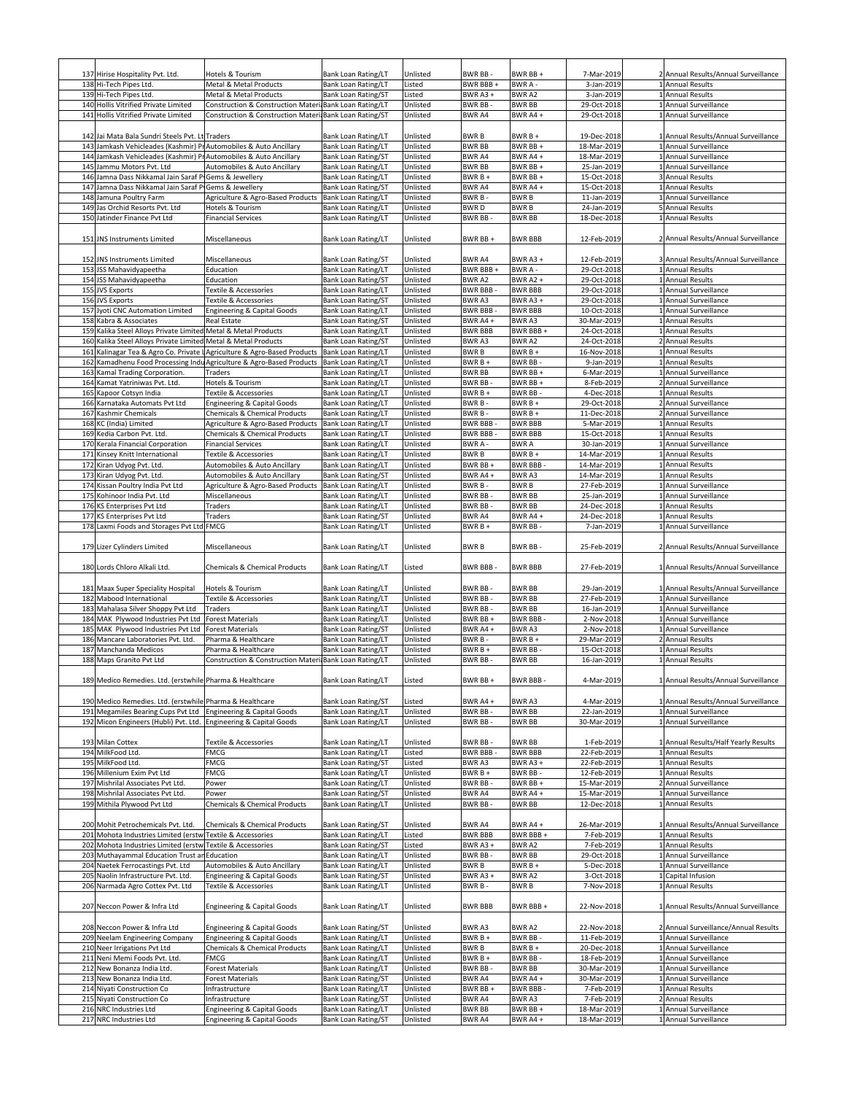|     | 137 Hirise Hospitality Pvt. Ltd.                                  | Hotels & Tourism                                                        | Bank Loan Rating/LT        | Unlisted | BWR BB-         | BWR BB+        | 7-Mar-2019  | 2 Annual Results/Annual Surveillance |
|-----|-------------------------------------------------------------------|-------------------------------------------------------------------------|----------------------------|----------|-----------------|----------------|-------------|--------------------------------------|
|     |                                                                   |                                                                         |                            |          |                 |                |             |                                      |
|     | 138 Hi-Tech Pipes Ltd.                                            | Metal & Metal Products                                                  | Bank Loan Rating/LT        | Listed   | BWR BBB +       | BWR A -        | 3-Jan-2019  | 1 Annual Results                     |
|     | 139 Hi-Tech Pipes Ltd.                                            | Metal & Metal Products                                                  | <b>Bank Loan Rating/ST</b> | Listed   | BWR A3+         | <b>BWRA2</b>   | 3-Jan-2019  | 1 Annual Results                     |
|     | 140 Hollis Vitrified Private Limited                              | Construction & Construction Materi                                      | <b>Bank Loan Rating/LT</b> | Unlisted | BWR BB          | <b>BWR BB</b>  | 29-Oct-2018 | 1 Annual Surveillance                |
|     |                                                                   |                                                                         |                            |          |                 |                |             |                                      |
| 141 | Hollis Vitrified Private Limited                                  | Construction & Construction Materi Bank Loan Rating/ST                  |                            | Unlisted | BWR A4          | BWR A4+        | 29-Oct-2018 | 1 Annual Surveillance                |
|     |                                                                   |                                                                         |                            |          |                 |                |             |                                      |
|     | 142 Jai Mata Bala Sundri Steels Pyt. Lt Traders                   |                                                                         |                            |          |                 |                |             |                                      |
|     |                                                                   |                                                                         | Bank Loan Rating/LT        | Unlisted | <b>BWRB</b>     | $BWRB +$       | 19-Dec-2018 | 1 Annual Results/Annual Surveillance |
|     | 143 Jamkash Vehicleades (Kashmir) PrAutomobiles & Auto Ancillary  |                                                                         | Bank Loan Rating/LT        | Unlisted | <b>BWR BB</b>   | BWR BB+        | 18-Mar-2019 | 1 Annual Surveillance                |
|     | 144 Jamkash Vehicleades (Kashmir) Pr                              | Automobiles & Auto Ancillary                                            | <b>Bank Loan Rating/ST</b> | Unlisted | <b>BWRA4</b>    | BWR A4 +       | 18-Mar-2019 | 1 Annual Surveillance                |
|     |                                                                   |                                                                         |                            |          |                 |                |             |                                      |
|     | 145 Jammu Motors Pvt. Ltd                                         | Automobiles & Auto Ancillary                                            | Bank Loan Rating/LT        | Unlisted | <b>BWR BB</b>   | BWR BB+        | 25-Jan-2019 | 1 Annual Surveillance                |
| 146 | Jamna Dass Nikkamal Jain Saraf P                                  | Gems & Jewellery                                                        | Bank Loan Rating/LT        | Unlisted | BWR B +         | BWR BB-        | 15-Oct-2018 | 3 Annual Results                     |
| 147 | Jamna Dass Nikkamal Jain Saraf P Gems & Jewellery                 |                                                                         | Bank Loan Rating/ST        | Unlisted | BWR A4          | BWR A4+        | 15-Oct-2018 | 1 Annual Results                     |
|     |                                                                   |                                                                         |                            |          |                 |                |             |                                      |
| 148 | Jamuna Poultry Farm                                               | Agriculture & Agro-Based Products                                       | <b>Bank Loan Rating/LT</b> | Unlisted | <b>BWRB</b>     | <b>BWRB</b>    | 11-Jan-2019 | 1 Annual Surveillance                |
| 149 | Jas Orchid Resorts Pvt. Ltd                                       | Hotels & Tourism                                                        | Bank Loan Rating/LT        | Unlisted | <b>BWRD</b>     | <b>BWRB</b>    | 24-Jan-2019 | 5 Annual Results                     |
|     | 150 Jatinder Finance Pvt Ltd                                      | <b>Financial Services</b>                                               | Bank Loan Rating/LT        | Unlisted | <b>BWR BB</b>   | <b>BWR BB</b>  | 18-Dec-2018 | 1 Annual Results                     |
|     |                                                                   |                                                                         |                            |          |                 |                |             |                                      |
|     |                                                                   |                                                                         |                            |          |                 |                |             |                                      |
|     | 151 JNS Instruments Limited                                       | Miscellaneous                                                           | Bank Loan Rating/LT        | Unlisted | BWR BB+         | <b>BWR BBB</b> | 12-Feb-2019 | 2 Annual Results/Annual Surveillance |
|     |                                                                   |                                                                         |                            |          |                 |                |             |                                      |
|     |                                                                   |                                                                         |                            |          |                 |                |             |                                      |
|     | 152 JNS Instruments Limited                                       | Miscellaneous                                                           | <b>Bank Loan Rating/ST</b> | Unlisted | BWR A4          | BWR A3+        | 12-Feb-2019 | 3 Annual Results/Annual Surveillance |
|     | 153 JSS Mahavidyapeetha                                           | Education                                                               | Bank Loan Rating/LT        | Unlisted | BWR BBB+        | BWR A -        | 29-Oct-2018 | 1 Annual Results                     |
|     | 154 JSS Mahavidyapeetha                                           | Education                                                               | <b>Bank Loan Rating/ST</b> | Unlisted | BWR A2          | BWR A2+        | 29-Oct-2018 | 1 Annual Results                     |
|     |                                                                   |                                                                         |                            |          |                 |                |             |                                      |
|     | 155 JVS Exports                                                   | Textile & Accessories                                                   | <b>Bank Loan Rating/LT</b> | Unlisted | <b>BWR BBB-</b> | <b>BWR BBB</b> | 29-Oct-2018 | 1 Annual Surveillance                |
|     | 156 JVS Exports                                                   | Textile & Accessories                                                   | <b>Bank Loan Rating/ST</b> | Unlisted | BWR A3          | BWR A3+        | 29-Oct-2018 | 1 Annual Surveillance                |
|     | 157 Jyoti CNC Automation Limited                                  |                                                                         | <b>Bank Loan Rating/LT</b> | Unlisted | <b>BWR BBB</b>  | <b>BWR BBB</b> | 10-Oct-2018 | 1 Annual Surveillance                |
|     |                                                                   | Engineering & Capital Goods                                             |                            |          |                 |                |             |                                      |
|     | 158 Kabra & Associates                                            | Real Estate                                                             | <b>Bank Loan Rating/ST</b> | Unlisted | BWR A4+         | BWR A3         | 30-Mar-2019 | 1 Annual Results                     |
|     | 159 Kalika Steel Alloys Private Limited Metal & Metal Products    |                                                                         | Bank Loan Rating/LT        | Unlisted | <b>BWR BBB</b>  | BWR BBB+       | 24-Oct-2018 | 1 Annual Results                     |
|     |                                                                   |                                                                         |                            |          |                 |                |             |                                      |
|     | 160 Kalika Steel Alloys Private Limited Metal & Metal Products    |                                                                         | Bank Loan Rating/ST        | Unlisted | BWR A3          | BWR A2         | 24-Oct-2018 | 2 Annual Results                     |
|     |                                                                   | 161 Kalinagar Tea & Agro Co. Private LAgriculture & Agro-Based Products | <b>Bank Loan Rating/LT</b> | Unlisted | <b>BWRB</b>     | BWR B +        | 16-Nov-2018 | 1 Annual Results                     |
| 162 |                                                                   | Kamadhenu Food Processing Indu Agriculture & Agro-Based Products        | <b>Bank Loan Rating/LT</b> | Unlisted | BWR B +         | <b>BWR BB</b>  | 9-Jan-2019  | 1 Annual Results                     |
|     |                                                                   |                                                                         |                            |          |                 |                |             |                                      |
| 163 | Kamal Trading Corporation.                                        | Traders                                                                 | <b>Bank Loan Rating/LT</b> | Unlisted | <b>BWR BB</b>   | BWR BB+        | 6-Mar-2019  | 1 Annual Surveillance                |
| 164 | Kamat Yatriniwas Pvt. Ltd.                                        | Hotels & Tourism                                                        | Bank Loan Rating/LT        | Unlisted | <b>BWR BB</b>   | BWR BB+        | 8-Feb-2019  | 2 Annual Surveillance                |
| 165 | Kapoor Cotsyn India                                               | Textile & Accessories                                                   | Bank Loan Rating/LT        | Unlisted | BWR B +         | BWR BB-        | 4-Dec-2018  | 1 Annual Results                     |
|     |                                                                   |                                                                         |                            |          |                 |                |             |                                      |
| 166 | Karnataka Automats Pvt Ltd                                        | <b>Engineering &amp; Capital Goods</b>                                  | <b>Bank Loan Rating/LT</b> | Unlisted | BWR B           | BWR B +        | 29-Oct-2018 | 2 Annual Surveillance                |
| 167 | <b>Kashmir Chemicals</b>                                          | Chemicals & Chemical Products                                           | Bank Loan Rating/LT        | Unlisted | BWR B-          | BWR B +        | 11-Dec-2018 | 2 Annual Surveillance                |
|     | 168 KC (India) Limited                                            | Agriculture & Agro-Based Products                                       | Bank Loan Rating/LT        | Unlisted | <b>BWR BBB</b>  | <b>BWR BBB</b> | 5-Mar-2019  | 1 Annual Results                     |
|     |                                                                   |                                                                         |                            |          |                 |                |             |                                      |
| 169 | Kedia Carbon Pvt. Ltd.                                            | <b>Chemicals &amp; Chemical Products</b>                                | Bank Loan Rating/LT        | Unlisted | <b>BWR BBB</b>  | <b>BWR BBB</b> | 15-Oct-2018 | 1 Annual Results                     |
|     | 170 Kerala Financial Corporation                                  | Financial Services                                                      | Bank Loan Rating/LT        | Unlisted | BWR A -         | <b>BWRA</b>    | 30-Jan-2019 | 1 Annual Surveillance                |
|     |                                                                   |                                                                         |                            |          |                 |                | 14-Mar-2019 |                                      |
| 171 | Kinsey Knitt International                                        | Textile & Accessories                                                   | Bank Loan Rating/LT        | Unlisted | <b>BWRB</b>     | BWR B +        |             | 1 Annual Results                     |
|     | 172 Kiran Udyog Pvt. Ltd.                                         | Automobiles & Auto Ancillary                                            | Bank Loan Rating/LT        | Unlisted | BWR BB-         | <b>BWR BBB</b> | 14-Mar-2019 | 1 Annual Results                     |
|     | 173 Kiran Udyog Pvt. Ltd.                                         | Automobiles & Auto Ancillary                                            | Bank Loan Rating/ST        | Unlisted | BWR A4+         | BWR A3         | 14-Mar-2019 | 1 Annual Results                     |
|     |                                                                   |                                                                         |                            |          |                 |                |             |                                      |
|     | 174 Kissan Poultry India Pvt Ltd                                  | Agriculture & Agro-Based Products                                       | Bank Loan Rating/LT        | Unlisted | BWR B-          | <b>BWRB</b>    | 27-Feb-2019 | 1 Annual Surveillance                |
| 175 | Kohinoor India Pvt. Ltd                                           | Miscellaneous                                                           | Bank Loan Rating/LT        | Unlisted | <b>BWR BB</b>   | <b>BWR BB</b>  | 25-Jan-2019 | Annual Surveillance                  |
|     | 176 KS Enterprises Pvt Ltd                                        | Traders                                                                 | Bank Loan Rating/LT        | Unlisted | BWR BB          | <b>BWR BB</b>  | 24-Dec-2018 | 1 Annual Results                     |
|     |                                                                   |                                                                         |                            |          |                 |                |             |                                      |
|     | 177 KS Enterprises Pvt Ltd                                        | Traders                                                                 | Bank Loan Rating/ST        | Unlisted | BWR A4          | BWR A4+        | 24-Dec-2018 | <b>Annual Results</b>                |
|     | 178 Laxmi Foods and Storages Pvt Ltd FMCG                         |                                                                         | Bank Loan Rating/LT        | Unlisted | BWR B +         | BWR BB -       | 7-Jan-2019  | Annual Surveillance                  |
|     |                                                                   |                                                                         |                            |          |                 |                |             |                                      |
|     |                                                                   | Miscellaneous                                                           |                            | Unlisted | <b>BWRB</b>     | BWR BB-        |             |                                      |
|     | 179 Lizer Cylinders Limited                                       |                                                                         | Bank Loan Rating/LT        |          |                 |                | 25-Feb-2019 | 2 Annual Results/Annual Surveillance |
|     |                                                                   |                                                                         |                            |          |                 |                |             |                                      |
|     | 180 Lords Chloro Alkali Ltd.                                      | <b>Chemicals &amp; Chemical Products</b>                                | <b>Bank Loan Rating/LT</b> | Listed   | <b>BWR BBB-</b> | <b>BWR BBB</b> | 27-Feb-2019 | 1 Annual Results/Annual Surveillance |
|     |                                                                   |                                                                         |                            |          |                 |                |             |                                      |
|     |                                                                   |                                                                         |                            |          |                 |                |             |                                      |
|     | 181 Maax Super Speciality Hospital                                | Hotels & Tourism                                                        | <b>Bank Loan Rating/LT</b> | Unlisted | BWR BB-         | <b>BWR BB</b>  | 29-Jan-2019 | 1 Annual Results/Annual Surveillance |
|     | 182 Mabood International                                          | Textile & Accessories                                                   | Bank Loan Rating/LT        | Unlisted | BWR BB-         | <b>BWR BB</b>  | 27-Feb-2019 | 1 Annual Surveillance                |
|     |                                                                   |                                                                         |                            |          |                 |                |             |                                      |
|     | 183 Mahalasa Silver Shoppy Pvt Ltd                                | Traders                                                                 | Bank Loan Rating/LT        | Unlisted | BWR BB-         | <b>BWR BB</b>  | 16-Jan-2019 | 1 Annual Surveillance                |
|     | 184 MAK Plywood Industries Pvt Ltd                                | <b>Forest Materials</b>                                                 | Bank Loan Rating/LT        | Unlisted | BWR BB +        | <b>BWR BBB</b> | 2-Nov-2018  | 1 Annual Surveillance                |
| 185 | MAK Plywood Industries Pvt Ltd                                    | <b>Forest Materials</b>                                                 | Bank Loan Rating/ST        | Unlisted | BWR A4+         | <b>BWRA3</b>   | 2-Nov-2018  | 1 Annual Surveillance                |
|     |                                                                   |                                                                         |                            |          |                 |                |             |                                      |
|     | 186 Mancare Laboratories Pvt. Ltd.                                | Pharma & Healthcare                                                     | <b>Bank Loan Rating/LT</b> | Unlisted | BWR B -         | BWR B+         | 29-Mar-2019 | 2 Annual Results                     |
| 187 | Manchanda Medicos                                                 | Pharma & Healthcare                                                     | <b>Bank Loan Rating/LT</b> | Unlisted | BWR B +         | <b>BWR BB</b>  | 15-Oct-2018 | 1 Annual Results                     |
|     | 188 Maps Granito Pvt Ltd                                          | Construction & Construction Materi                                      | Bank Loan Rating/LT        | Unlisted | BWR BB          | <b>BWR BB</b>  | 16-Jan-2019 | 1 Annual Results                     |
|     |                                                                   |                                                                         |                            |          |                 |                |             |                                      |
|     |                                                                   |                                                                         |                            |          |                 |                |             |                                      |
|     | 189 Medico Remedies. Ltd. (erstwhile Pharma & Healthcare          |                                                                         | Bank Loan Rating/LT        | Listed   | BWR BB +        | BWR BBB        | 4-Mar-2019  | 1 Annual Results/Annual Surveillance |
|     |                                                                   |                                                                         |                            |          |                 |                |             |                                      |
|     |                                                                   |                                                                         |                            |          |                 |                |             |                                      |
|     | 190 Medico Remedies. Ltd. (erstwhile Pharma & Healthcare          |                                                                         | Bank Loan Rating/ST        | Listed   | BWR A4+         | BWR A3         | 4-Mar-2019  | 1 Annual Results/Annual Surveillance |
|     | 191 Megamiles Bearing Cups Pvt Ltd                                | <b>Engineering &amp; Capital Goods</b>                                  | <b>Bank Loan Rating/LT</b> | Unlisted | <b>BWR BB</b>   | <b>BWR BB</b>  | 22-Jan-2019 | 1 Annual Surveillance                |
|     | 192 Micon Engineers (Hubli) Pvt. Ltd. Engineering & Capital Goods |                                                                         | Bank Loan Rating/LT        | Unlisted | BWR BB-         | <b>BWR BB</b>  | 30-Mar-2019 | 1 Annual Surveillance                |
|     |                                                                   |                                                                         |                            |          |                 |                |             |                                      |
|     |                                                                   |                                                                         |                            |          |                 |                |             |                                      |
|     | 193 Milan Cottex                                                  | Textile & Accessories                                                   | <b>Bank Loan Rating/LT</b> | Unlisted | BWR BB-         | <b>BWR BB</b>  | 1-Feb-2019  | 1 Annual Results/Half Yearly Results |
|     | 194 MilkFood Ltd.                                                 | FMCG                                                                    | <b>Bank Loan Rating/LT</b> | Listed   | <b>BWR BBB</b>  | <b>BWR BBB</b> | 22-Feb-2019 | 1 Annual Results                     |
|     |                                                                   |                                                                         |                            |          |                 |                |             |                                      |
|     | 195 MilkFood Ltd.                                                 | FMCG                                                                    | <b>Bank Loan Rating/ST</b> | Listed   | BWR A3          | BWR A3+        | 22-Feb-2019 | 1 Annual Results                     |
|     | 196 Millenium Exim Pvt Ltd                                        | FMCG                                                                    | <b>Bank Loan Rating/LT</b> | Unlisted | BWR B +         | BWR BB-        | 12-Feb-2019 | 1 Annual Results                     |
|     | 197 Mishrilal Associates Pvt Ltd.                                 | Power                                                                   | <b>Bank Loan Rating/LT</b> | Unlisted | BWR BB-         | BWR BB+        | 15-Mar-2019 | 2 Annual Surveillance                |
|     |                                                                   |                                                                         |                            |          |                 |                |             |                                      |
|     | 198 Mishrilal Associates Pvt Ltd.                                 | Power                                                                   | <b>Bank Loan Rating/ST</b> | Unlisted | BWR A4          | BWR A4+        | 15-Mar-2019 | 1 Annual Surveillance                |
|     | 199 Mithila Plywood Pvt Ltd                                       | <b>Chemicals &amp; Chemical Products</b>                                | Bank Loan Rating/LT        | Unlisted | BWR BB-         | <b>BWR BB</b>  | 12-Dec-2018 | 1 Annual Results                     |
|     |                                                                   |                                                                         |                            |          |                 |                |             |                                      |
|     |                                                                   |                                                                         |                            |          |                 |                |             |                                      |
|     | 200 Mohit Petrochemicals Pvt. Ltd.                                | <b>Chemicals &amp; Chemical Products</b>                                | Bank Loan Rating/ST        | Unlisted | BWR A4          | BWR A4+        | 26-Mar-2019 | 1 Annual Results/Annual Surveillance |
|     | 201 Mohota Industries Limited (erstw Textile & Accessories        |                                                                         | Bank Loan Rating/LT        | Listed   | <b>BWR BBB</b>  | BWR BBB +      | 7-Feb-2019  | 1 Annual Results                     |
|     | 202 Mohota Industries Limited (erstw Textile & Accessories        |                                                                         | <b>Bank Loan Rating/ST</b> | Listed   | BWR A3+         | BWR A2         | 7-Feb-2019  | 1 Annual Results                     |
|     |                                                                   |                                                                         |                            |          |                 |                |             |                                      |
|     | 203 Muthayammal Education Trust an Education                      |                                                                         | Bank Loan Rating/LT        | Unlisted | BWR BB-         | <b>BWR BB</b>  | 29-Oct-2018 | 1 Annual Surveillance                |
|     | 204 Naetek Ferrocastings Pvt. Ltd                                 | Automobiles & Auto Ancillary                                            | <b>Bank Loan Rating/LT</b> | Unlisted | BWR B           | BWR B +        | 5-Dec-2018  | 1 Annual Surveillance                |
|     |                                                                   |                                                                         |                            |          |                 |                |             |                                      |
|     | 205 Naolin Infrastructure Pvt. Ltd.                               | <b>Engineering &amp; Capital Goods</b>                                  | Bank Loan Rating/ST        | Unlisted | BWR A3 +        | BWR A2         | 3-Oct-2018  | 1 Capital Infusion                   |
|     | 206 Narmada Agro Cottex Pvt. Ltd                                  | Textile & Accessories                                                   | Bank Loan Rating/LT        | Unlisted | BWR B -         | BWR B          | 7-Nov-2018  | 1 Annual Results                     |
|     |                                                                   |                                                                         |                            |          |                 |                |             |                                      |
|     |                                                                   |                                                                         |                            |          |                 |                |             |                                      |
|     | 207 Neccon Power & Infra Ltd                                      | <b>Engineering &amp; Capital Goods</b>                                  | Bank Loan Rating/LT        | Unlisted | <b>BWR BBB</b>  | BWR BBB+       | 22-Nov-2018 | 1 Annual Results/Annual Surveillance |
|     |                                                                   |                                                                         |                            |          |                 |                |             |                                      |
|     | 208 Neccon Power & Infra Ltd                                      | Engineering & Capital Goods                                             | Bank Loan Rating/ST        | Unlisted | BWR A3          | BWR A2         | 22-Nov-2018 | 2 Annual Surveillance/Annual Results |
|     |                                                                   |                                                                         |                            |          |                 |                |             |                                      |
|     | 209 Neelam Engineering Company                                    | <b>Engineering &amp; Capital Goods</b>                                  | Bank Loan Rating/LT        | Unlisted | BWR B +         | <b>BWR BB</b>  | 11-Feb-2019 | 1 Annual Surveillance                |
|     | 210 Neer Irrigations Pvt Ltd                                      | <b>Chemicals &amp; Chemical Products</b>                                | Bank Loan Rating/LT        | Unlisted | <b>BWRB</b>     | BWR B +        | 20-Dec-2018 | 1 Annual Surveillance                |
|     | 211 Neni Memi Foods Pvt. Ltd.                                     | FMCG                                                                    | Bank Loan Rating/LT        | Unlisted | BWR B +         | <b>BWR BB</b>  | 18-Feb-2019 | 1 Annual Surveillance                |
|     |                                                                   |                                                                         |                            |          |                 |                |             |                                      |
|     | 212 New Bonanza India Ltd.                                        | Forest Materials                                                        | Bank Loan Rating/LT        | Unlisted | <b>BWR BB</b>   | <b>BWR BB</b>  | 30-Mar-2019 | 1 Annual Surveillance                |
|     | 213 New Bonanza India Ltd.                                        | Forest Materials                                                        | Bank Loan Rating/ST        | Unlisted | BWR A4          | BWR A4+        | 30-Mar-2019 | 1 Annual Surveillance                |
|     | 214 Niyati Construction Co                                        | Infrastructure                                                          | Bank Loan Rating/LT        | Unlisted | BWR BB+         | <b>BWR BBB</b> | 7-Feb-2019  | 1 Annual Results                     |
|     |                                                                   |                                                                         |                            |          |                 |                |             |                                      |
|     | 215 Niyati Construction Co                                        | Infrastructure                                                          | <b>Bank Loan Rating/ST</b> | Unlisted | BWR A4          | BWR A3         | 7-Feb-2019  | 2 Annual Results                     |
|     | 216 NRC Industries Ltd                                            | <b>Engineering &amp; Capital Goods</b>                                  | <b>Bank Loan Rating/LT</b> | Unlisted | <b>BWR BB</b>   | BWR BB+        | 18-Mar-2019 | 1 Annual Surveillance                |
|     | 217 NRC Industries Ltd                                            | <b>Engineering &amp; Capital Goods</b>                                  | Bank Loan Rating/ST        | Unlisted | BWR A4          | BWR A4+        | 18-Mar-2019 | 1 Annual Surveillance                |
|     |                                                                   |                                                                         |                            |          |                 |                |             |                                      |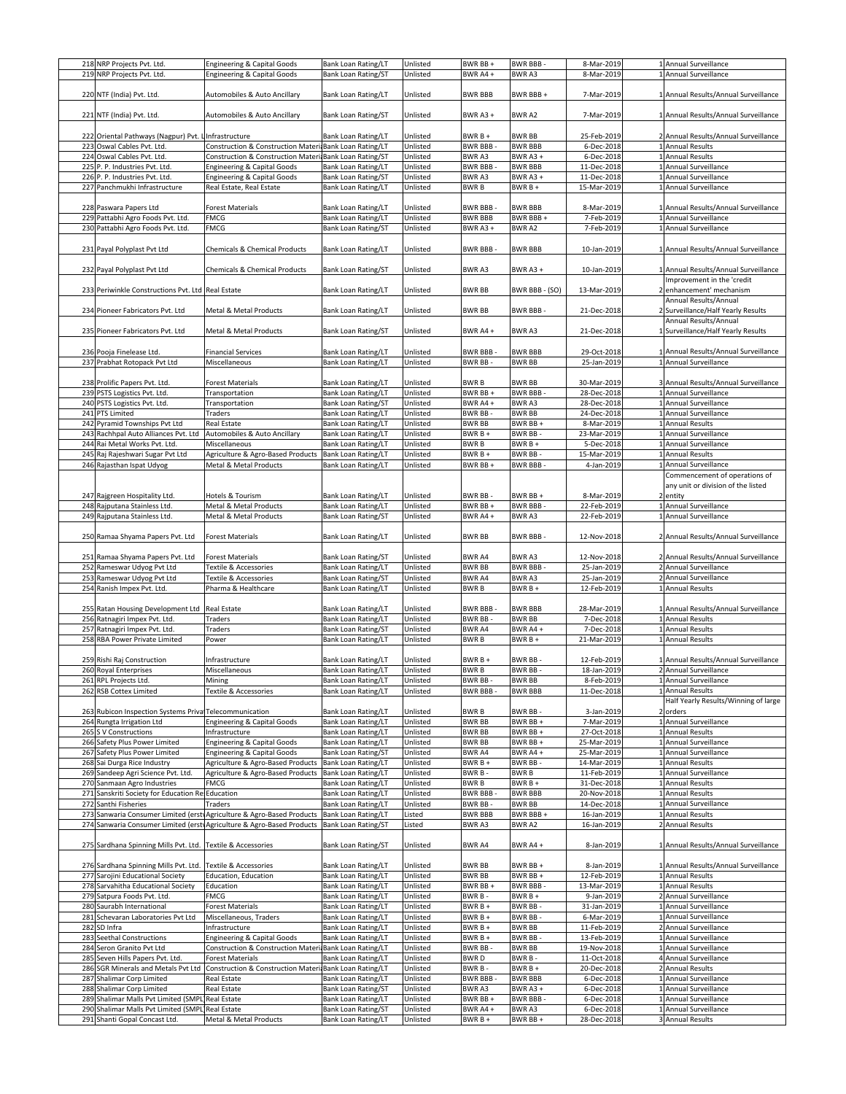| 218 NRP Projects Pvt. Ltd.                                  | <b>Engineering &amp; Capital Goods</b>                                | Bank Loan Rating/LT        | Unlisted |
|-------------------------------------------------------------|-----------------------------------------------------------------------|----------------------------|----------|
| 219 NRP Projects Pvt. Ltd.                                  | <b>Engineering &amp; Capital Goods</b>                                | Bank Loan Rating/ST        | Unlisted |
|                                                             |                                                                       |                            |          |
|                                                             |                                                                       |                            |          |
| 220 NTF (India) Pvt. Ltd.                                   | Automobiles & Auto Ancillary                                          | Bank Loan Rating/LT        | Unlisted |
|                                                             |                                                                       |                            |          |
|                                                             |                                                                       |                            |          |
| 221 NTF (India) Pvt. Ltd.                                   | Automobiles & Auto Ancillary                                          | Bank Loan Rating/ST        | Unlisted |
|                                                             |                                                                       |                            |          |
|                                                             |                                                                       |                            |          |
| 222 Oriental Pathways (Nagpur) Pvt. Linfrastructure         |                                                                       | Bank Loan Rating/LT        | Unlisted |
|                                                             |                                                                       |                            |          |
| 223 Oswal Cables Pvt. Ltd.                                  | Construction & Construction Materi Bank Loan Rating/LT                |                            | Unlisted |
| 224 Oswal Cables Pvt. Ltd.                                  | Construction & Construction Materi Bank Loan Rating/ST                |                            | Unlisted |
|                                                             |                                                                       |                            |          |
| 225 P. P. Industries Pvt. Ltd.                              | Engineering & Capital Goods                                           | <b>Bank Loan Rating/LT</b> | Unlisted |
| 226 P. P. Industries Pvt. Ltd.                              |                                                                       | <b>Bank Loan Rating/ST</b> | Unlisted |
|                                                             | Engineering & Capital Goods                                           |                            |          |
| 227 Panchmukhi Infrastructure                               | Real Estate, Real Estate                                              | Bank Loan Rating/LT        | Unlisted |
|                                                             |                                                                       |                            |          |
|                                                             |                                                                       |                            |          |
| 228 Paswara Papers Ltd                                      | <b>Forest Materials</b>                                               | Bank Loan Rating/LT        | Unlisted |
| 229 Pattabhi Agro Foods Pvt. Ltd.                           | FMCG                                                                  | <b>Bank Loan Rating/LT</b> | Unlisted |
|                                                             |                                                                       |                            |          |
| 230 Pattabhi Agro Foods Pvt. Ltd.                           | FMCG                                                                  | Bank Loan Rating/ST        | Unlisted |
|                                                             |                                                                       |                            |          |
|                                                             |                                                                       |                            |          |
| 231 Payal Polyplast Pvt Ltd                                 | Chemicals & Chemical Products                                         | Bank Loan Rating/LT        | Unlisted |
|                                                             |                                                                       |                            |          |
|                                                             |                                                                       |                            |          |
| 232 Payal Polyplast Pvt Ltd                                 | Chemicals & Chemical Products                                         | Bank Loan Rating/ST        | Unlisted |
|                                                             |                                                                       |                            |          |
|                                                             |                                                                       |                            |          |
| 233 Periwinkle Constructions Pvt. Ltd Real Estate           |                                                                       | Bank Loan Rating/LT        | Unlisted |
|                                                             |                                                                       |                            |          |
|                                                             |                                                                       |                            |          |
| 234 Pioneer Fabricators Pvt. Ltd                            | Metal & Metal Products                                                | Bank Loan Rating/LT        | Unlisted |
|                                                             |                                                                       |                            |          |
|                                                             |                                                                       |                            |          |
| 235 Pioneer Fabricators Pvt. Ltd                            | Metal & Metal Products                                                | Bank Loan Rating/ST        | Unlisted |
|                                                             |                                                                       |                            |          |
|                                                             |                                                                       |                            |          |
| 236 Pooja Finelease Ltd.                                    | <b>Financial Services</b>                                             | Bank Loan Rating/LT        | Unlisted |
| 237 Prabhat Rotopack Pvt Ltd                                | Miscellaneous                                                         | <b>Bank Loan Rating/LT</b> | Unlisted |
|                                                             |                                                                       |                            |          |
|                                                             |                                                                       |                            |          |
|                                                             |                                                                       |                            |          |
| 238 Prolific Papers Pvt. Ltd.                               | <b>Forest Materials</b>                                               | Bank Loan Rating/LT        | Unlisted |
| 239 PSTS Logistics Pvt. Ltd.                                | Transportation                                                        | <b>Bank Loan Rating/LT</b> | Unlisted |
|                                                             |                                                                       |                            |          |
| 240 PSTS Logistics Pvt. Ltd.                                | Transportation                                                        | <b>Bank Loan Rating/ST</b> | Unlisted |
| 241 PTS Limited                                             | Traders                                                               | Bank Loan Rating/LT        | Unlisted |
|                                                             |                                                                       |                            |          |
| 242 Pyramid Townships Pvt Ltd                               | Real Estate                                                           | Bank Loan Rating/LT        | Unlisted |
| 243 Rachhpal Auto Alliances Pvt. Ltd                        | Automobiles & Auto Ancillary                                          | Bank Loan Rating/LT        | Unlisted |
|                                                             |                                                                       |                            |          |
| 244 Rai Metal Works Pvt. Ltd.                               | Miscellaneous                                                         | Bank Loan Rating/LT        | Unlisted |
| 245 Raj Rajeshwari Sugar Pvt Ltd                            | Agriculture & Agro-Based Products                                     | <b>Bank Loan Rating/LT</b> | Unlisted |
|                                                             |                                                                       |                            |          |
| 246 Rajasthan Ispat Udyog                                   | Metal & Metal Products                                                | Bank Loan Rating/LT        | Unlisted |
|                                                             |                                                                       |                            |          |
|                                                             |                                                                       |                            |          |
|                                                             |                                                                       |                            |          |
| 247 Rajgreen Hospitality Ltd.                               | Hotels & Tourism                                                      | Bank Loan Rating/LT        | Unlisted |
|                                                             |                                                                       |                            |          |
| 248 Rajputana Stainless Ltd.                                | Metal & Metal Products                                                | <b>Bank Loan Rating/LT</b> | Unlisted |
| 249 Rajputana Stainless Ltd.                                | Metal & Metal Products                                                | <b>Bank Loan Rating/ST</b> | Unlisted |
|                                                             |                                                                       |                            |          |
|                                                             |                                                                       |                            |          |
| 250 Ramaa Shyama Papers Pvt. Ltd                            | Forest Materials                                                      | Bank Loan Rating/LT        | Unlisted |
|                                                             |                                                                       |                            |          |
|                                                             |                                                                       |                            |          |
| 251 Ramaa Shyama Papers Pvt. Ltd                            | Forest Materials                                                      | <b>Bank Loan Rating/ST</b> | Unlisted |
|                                                             |                                                                       |                            |          |
| 252 Rameswar Udyog Pvt Ltd                                  | Textile & Accessories                                                 | Bank Loan Rating/LT        | Unlisted |
| 253 Rameswar Udyog Pvt Ltd                                  | Textile & Accessories                                                 | <b>Bank Loan Rating/ST</b> | Unlisted |
|                                                             |                                                                       |                            |          |
| 254 Ranish Impex Pvt. Ltd.                                  | Pharma & Healthcare                                                   | Bank Loan Rating/LT        | Unlisted |
|                                                             |                                                                       |                            |          |
|                                                             |                                                                       |                            |          |
| 255 Ratan Housing Development Ltd                           | Real Estate                                                           | Bank Loan Rating/LT        | Unlisted |
| 256 Ratnagiri Impex Pvt. Ltd.                               | Traders                                                               | <b>Bank Loan Rating/LT</b> | Unlisted |
|                                                             |                                                                       |                            |          |
| 257 Ratnagiri Impex Pvt. Ltd.                               | Traders                                                               | Bank Loan Rating/ST        | Unlisted |
| 258 RBA Power Private Limited                               | Power                                                                 | <b>Bank Loan Rating/LT</b> | Unlisted |
|                                                             |                                                                       |                            |          |
|                                                             |                                                                       |                            |          |
| 259 Rishi Raj Construction                                  | Infrastructure                                                        | Bank Loan Rating/LT        | Unlisted |
|                                                             |                                                                       |                            |          |
| 260 Royal Enterprises                                       | Miscellaneous                                                         | Bank Loan Rating/LT        | Unlisted |
| 261 RPL Projects Ltd.                                       | Mining                                                                | Bank Loan Rating/LT        | Unlisted |
|                                                             |                                                                       |                            |          |
| 262 RSB Cottex Limited                                      | Textile & Accessories                                                 | Bank Loan Rating/LT        | Unlisted |
|                                                             |                                                                       |                            |          |
|                                                             |                                                                       |                            |          |
| 263 Rubicon Inspection Systems Priva Telecommunication      |                                                                       |                            |          |
| 264 Rungta Irrigation Ltd                                   |                                                                       | <b>Bank Loan Rating/LT</b> | Unlisted |
|                                                             |                                                                       |                            |          |
|                                                             | Engineering & Capital Goods                                           | Bank Loan Rating/LT        | Unlisted |
| 265 S V Constructions                                       | Infrastructure                                                        | <b>Bank Loan Rating/LT</b> | Unlisted |
|                                                             |                                                                       | Bank Loan Rating/LT        | Unlisted |
| 266 Safety Plus Power Limited                               | Engineering & Capital Goods                                           |                            |          |
| 267 Safety Plus Power Limited                               | <b>Engineering &amp; Capital Goods</b>                                | <b>Bank Loan Rating/ST</b> | Unlisted |
| 268 Sai Durga Rice Industry                                 | Agriculture & Agro-Based Products                                     | Bank Loan Rating/LT        | Unlisted |
|                                                             |                                                                       |                            |          |
| 269 Sandeep Agri Science Pvt. Ltd.                          | Agriculture & Agro-Based Products                                     | Bank Loan Rating/LT        | Unlisted |
| 270 Sanmaan Agro Industries                                 | FMCG                                                                  | Bank Loan Rating/LT        | Unlisted |
|                                                             |                                                                       |                            |          |
| 271 Sanskriti Society for Education Re                      | Education                                                             | Bank Loan Rating/LT        | Unlisted |
| 272 Santhi Fisheries                                        | Traders                                                               | Bank Loan Rating/LT        | Unlisted |
|                                                             |                                                                       |                            |          |
| 273 Sanwaria Consumer Limited (erst                         | Agriculture & Agro-Based Products                                     | <b>Bank Loan Rating/LT</b> | Listed   |
|                                                             | 274 Sanwaria Consumer Limited (erst Agriculture & Agro-Based Products | Bank Loan Rating/ST        | Listed   |
|                                                             |                                                                       |                            |          |
|                                                             |                                                                       |                            |          |
| 275 Sardhana Spinning Mills Pvt. Ltd. Textile & Accessories |                                                                       | <b>Bank Loan Rating/ST</b> | Unlisted |
|                                                             |                                                                       |                            |          |
|                                                             |                                                                       |                            |          |
| 276 Sardhana Spinning Mills Pvt. Ltd.                       | <b>Textile &amp; Accessories</b>                                      | Bank Loan Rating/LT        | Unlisted |
|                                                             |                                                                       |                            |          |
| 277 Sarojini Educational Society                            | Education, Education                                                  | Bank Loan Rating/LT        | Unlisted |
| 278 Sarvahitha Educational Society                          | Education                                                             | Bank Loan Rating/LT        | Unlisted |
|                                                             |                                                                       |                            |          |
| 279 Satpura Foods Pvt. Ltd.                                 | FMCG                                                                  | Bank Loan Rating/LT        | Unlisted |
| 280 Saurabh International                                   | <b>Forest Materials</b>                                               | <b>Bank Loan Rating/LT</b> | Unlisted |
|                                                             |                                                                       |                            |          |
| 281 Schevaran Laboratories Pvt Ltd                          | Miscellaneous, Traders                                                | <b>Bank Loan Rating/LT</b> | Unlisted |
| 282 SD Infra                                                | Infrastructure                                                        | Bank Loan Rating/LT        | Unlisted |
|                                                             |                                                                       |                            |          |
| 283 Seethal Constructions                                   | Engineering & Capital Goods                                           | Bank Loan Rating/LT        | Unlisted |
| 284 Seron Granito Pvt Ltd                                   | Construction & Construction Materi Bank Loan Rating/LT                |                            | Unlisted |
|                                                             |                                                                       |                            |          |
| 285 Seven Hills Papers Pvt. Ltd.                            | <b>Forest Materials</b>                                               | Bank Loan Rating/LT        | Unlisted |
| 286 SGR Minerals and Metals Pvt Ltd                         | Construction & Construction Materi Bank Loan Rating/LT                |                            | Unlisted |
|                                                             |                                                                       |                            |          |
| 287 Shalimar Corp Limited                                   | Real Estate                                                           | Bank Loan Rating/LT        | Unlisted |
| 288 Shalimar Corp Limited                                   | Real Estate                                                           | Bank Loan Rating/ST        | Unlisted |
|                                                             |                                                                       |                            |          |
| 289 Shalimar Malls Pvt Limited (SMPL                        | Real Estate                                                           | Bank Loan Rating/LT        | Unlisted |
| 290 Shalimar Malls Pvt Limited (SMPL)                       | Real Estate                                                           | Bank Loan Rating/ST        | Unlisted |
| 291 Shanti Gopal Concast Ltd.                               | Metal & Metal Products                                                | Bank Loan Rating/LT        | Unlisted |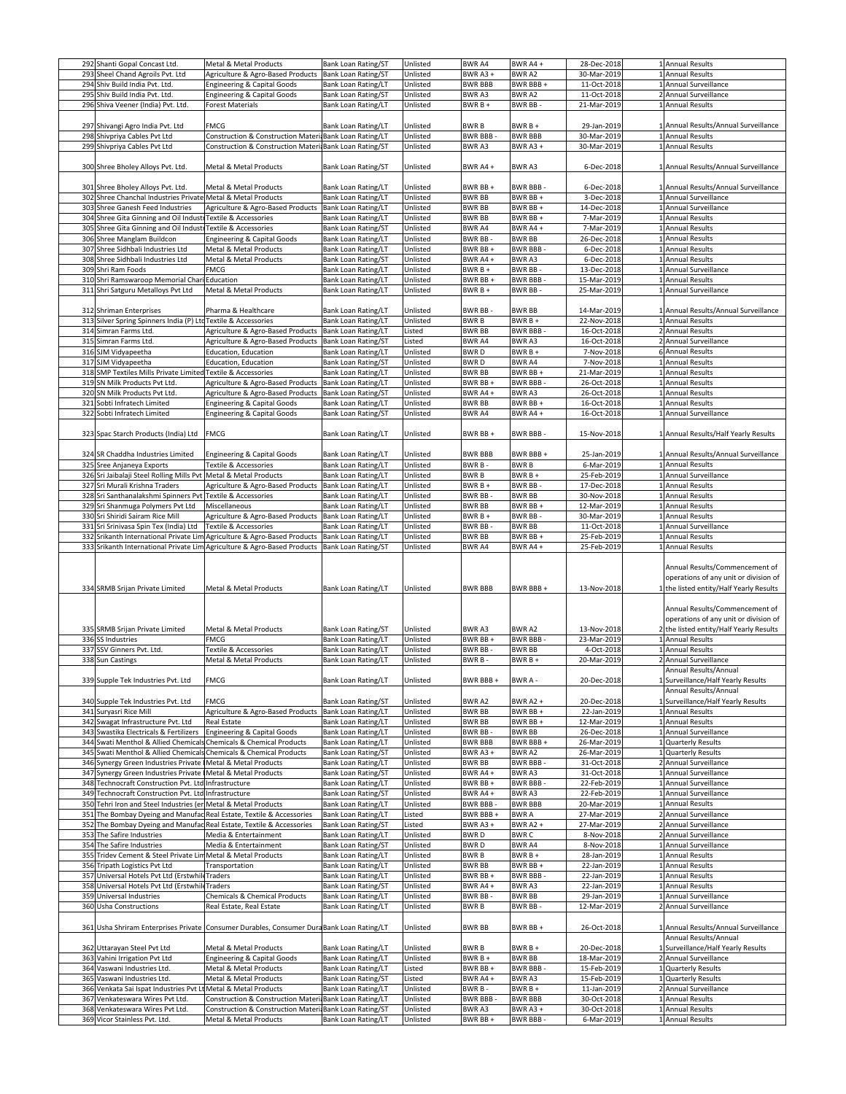|     | 292 Shanti Gopal Concast Ltd.                                        | Metal & Metal Products                                                                   | Bank Loan Rating/ST        | Unlisted | <b>BWRA4</b>   | BWR A4+         | 28-Dec-2018 | 1 Annual Results                                                                 |
|-----|----------------------------------------------------------------------|------------------------------------------------------------------------------------------|----------------------------|----------|----------------|-----------------|-------------|----------------------------------------------------------------------------------|
|     | 293 Sheel Chand Agroils Pvt. Ltd                                     | Agriculture & Agro-Based Products                                                        | Bank Loan Rating/ST        | Unlisted | BWR A3+        | BWR A2          | 30-Mar-2019 | 1 Annual Results                                                                 |
|     |                                                                      |                                                                                          |                            |          |                |                 |             |                                                                                  |
|     | 294 Shiv Build India Pvt. Ltd.                                       | Engineering & Capital Goods                                                              | Bank Loan Rating/LT        | Unlisted | <b>BWR BBB</b> | BWR BBB +       | 11-Oct-2018 | 1 Annual Surveillance                                                            |
|     | 295 Shiv Build India Pvt. Ltd.                                       | Engineering & Capital Goods                                                              | <b>Bank Loan Rating/ST</b> | Unlisted | BWR A3         | BWR A2          | 11-Oct-2018 | 2 Annual Surveillance                                                            |
|     |                                                                      |                                                                                          |                            |          |                |                 |             |                                                                                  |
|     | 296 Shiva Veener (India) Pvt. Ltd.                                   | Forest Materials                                                                         | Bank Loan Rating/LT        | Unlisted | BWR B +        | BWR BB-         | 21-Mar-2019 | 1 Annual Results                                                                 |
|     |                                                                      |                                                                                          |                            |          |                |                 |             |                                                                                  |
|     |                                                                      |                                                                                          |                            |          |                |                 |             |                                                                                  |
|     | 297 Shivangi Agro India Pvt. Ltd                                     | FMCG                                                                                     | Bank Loan Rating/LT        | Unlisted | <b>BWRB</b>    | BWR B +         | 29-Jan-2019 | 1 Annual Results/Annual Surveillance                                             |
|     | 298 Shivpriya Cables Pvt Ltd                                         | Construction & Construction Materi                                                       | <b>Bank Loan Rating/LT</b> | Unlisted | BWR BBB-       | <b>BWR BBB</b>  | 30-Mar-2019 | 1 Annual Results                                                                 |
|     |                                                                      |                                                                                          |                            |          |                |                 |             |                                                                                  |
|     | 299 Shivpriya Cables Pvt Ltd                                         | Construction & Construction Materia                                                      | <b>Bank Loan Rating/ST</b> | Unlisted | BWR A3         | BWR A3+         | 30-Mar-2019 | 1 Annual Results                                                                 |
|     |                                                                      |                                                                                          |                            |          |                |                 |             |                                                                                  |
|     |                                                                      |                                                                                          |                            |          |                |                 |             |                                                                                  |
|     | 300 Shree Bholey Alloys Pvt. Ltd.                                    | Metal & Metal Products                                                                   | Bank Loan Rating/ST        | Unlisted | <b>BWR A4+</b> | BWR A3          | 6-Dec-2018  | 1 Annual Results/Annual Surveillance                                             |
|     |                                                                      |                                                                                          |                            |          |                |                 |             |                                                                                  |
|     |                                                                      |                                                                                          |                            |          |                |                 |             |                                                                                  |
|     | 301 Shree Bholey Alloys Pvt. Ltd.                                    | Metal & Metal Products                                                                   | Bank Loan Rating/LT        | Unlisted | BWR BB+        | <b>BWR BBB</b>  | 6-Dec-2018  | 1 Annual Results/Annual Surveillance                                             |
|     |                                                                      |                                                                                          |                            |          |                |                 |             |                                                                                  |
|     | 302 Shree Chanchal Industries Private Metal & Metal Products         |                                                                                          | Bank Loan Rating/LT        | Unlisted | <b>BWR BB</b>  | BWR BB+         | 3-Dec-2018  | 1 Annual Surveillance                                                            |
|     | 303 Shree Ganesh Feed Industries                                     | Agriculture & Agro-Based Products                                                        | <b>Bank Loan Rating/LT</b> | Unlisted | <b>BWR BB</b>  | BWR BB+         | 14-Dec-2018 | 1 Annual Surveillance                                                            |
|     |                                                                      |                                                                                          |                            |          |                |                 |             |                                                                                  |
|     | 304 Shree Gita Ginning and Oil Industr Textile & Accessories         |                                                                                          | Bank Loan Rating/LT        | Unlisted | <b>BWR BB</b>  | BWR BB+         | 7-Mar-2019  | 1 Annual Results                                                                 |
|     | 305 Shree Gita Ginning and Oil Industi                               | <b>Textile &amp; Accessories</b>                                                         | <b>Bank Loan Rating/ST</b> | Unlisted | BWR A4         | BWR A4+         | 7-Mar-2019  | 1 Annual Results                                                                 |
|     |                                                                      |                                                                                          |                            |          |                |                 |             |                                                                                  |
|     | 306 Shree Manglam Buildcon                                           | Engineering & Capital Goods                                                              | Bank Loan Rating/LT        | Unlisted | BWR BB-        | <b>BWR BB</b>   | 26-Dec-2018 | 1 Annual Results                                                                 |
|     | 307 Shree Sidhbali Industries Ltd                                    | Metal & Metal Products                                                                   | Bank Loan Rating/LT        | Unlisted | BWR BB+        | <b>BWR BBB</b>  | 6-Dec-2018  | 1 Annual Results                                                                 |
|     |                                                                      |                                                                                          |                            |          |                |                 |             |                                                                                  |
|     | 308 Shree Sidhbali Industries Ltd                                    | Metal & Metal Products                                                                   | Bank Loan Rating/ST        | Unlisted | BWR A4+        | BWR A3          | 6-Dec-2018  | 1 Annual Results                                                                 |
|     | 309 Shri Ram Foods                                                   | FMCG                                                                                     | Bank Loan Rating/LT        | Unlisted | BWR B +        | <b>BWR BB</b>   | 13-Dec-2018 | 1 Annual Surveillance                                                            |
|     |                                                                      |                                                                                          |                            |          |                |                 |             |                                                                                  |
|     | 310 Shri Ramswaroop Memorial Chari Education                         |                                                                                          | Bank Loan Rating/LT        | Unlisted | BWR BB+        | <b>BWR BBB</b>  | 15-Mar-2019 | 1 Annual Results                                                                 |
|     | 311 Shri Satguru Metalloys Pvt Ltd                                   | Metal & Metal Products                                                                   | Bank Loan Rating/LT        | Unlisted | BWR B +        | <b>BWR BB</b>   | 25-Mar-2019 | 1 Annual Surveillance                                                            |
|     |                                                                      |                                                                                          |                            |          |                |                 |             |                                                                                  |
|     |                                                                      |                                                                                          |                            |          |                |                 |             |                                                                                  |
|     | 312 Shriman Enterprises                                              | Pharma & Healthcare                                                                      | Bank Loan Rating/LT        | Unlisted | <b>BWR BB-</b> | <b>BWR BB</b>   | 14-Mar-2019 | 1 Annual Results/Annual Surveillance                                             |
|     |                                                                      |                                                                                          |                            |          |                |                 |             |                                                                                  |
|     | 313 Silver Spring Spinners India (P) LtdTextile & Accessories        |                                                                                          | Bank Loan Rating/LT        | Unlisted | <b>BWRB</b>    | $BWRB +$        | 22-Nov-2018 | 1 Annual Results                                                                 |
|     | 314 Simran Farms Ltd.                                                | Agriculture & Agro-Based Products                                                        | <b>Bank Loan Rating/LT</b> | Listed   | <b>BWR BB</b>  | <b>BWR BBB</b>  | 16-Oct-2018 | 2 Annual Results                                                                 |
|     |                                                                      |                                                                                          |                            |          |                |                 |             |                                                                                  |
|     | 315 Simran Farms Ltd.                                                | Agriculture & Agro-Based Products                                                        | <b>Bank Loan Rating/ST</b> | Listed   | <b>BWRA4</b>   | BWR A3          | 16-Oct-2018 | 2 Annual Surveillance                                                            |
|     | 316 SJM Vidyapeetha                                                  | Education, Education                                                                     | <b>Bank Loan Rating/LT</b> | Unlisted | <b>BWRD</b>    | BWR B +         | 7-Nov-2018  | 6 Annual Results                                                                 |
|     |                                                                      |                                                                                          |                            |          |                |                 |             |                                                                                  |
|     | 317 SJM Vidyapeetha                                                  | <b>Education, Education</b>                                                              | <b>Bank Loan Rating/ST</b> | Unlisted | <b>BWRD</b>    | <b>BWR A4</b>   | 7-Nov-2018  | 1 Annual Results                                                                 |
|     | 318 SMP Textiles Mills Private Limited Textile & Accessories         |                                                                                          | Bank Loan Rating/LT        | Unlisted | <b>BWR BB</b>  | BWR BB +        | 21-Mar-2019 | 1 Annual Results                                                                 |
|     |                                                                      |                                                                                          |                            |          |                |                 |             |                                                                                  |
|     | 319 SN Milk Products Pvt Ltd                                         | Agriculture & Agro-Based Products                                                        | Bank Loan Rating/LT        | Unlisted | BWR BB+        | <b>BWR BBB</b>  | 26-Oct-2018 | 1 Annual Results                                                                 |
|     | 320 SN Milk Products Pvt Ltd.                                        | Agriculture & Agro-Based Products                                                        | Bank Loan Rating/ST        | Unlisted | BWR A4+        | BWR A3          | 26-Oct-2018 | 1 Annual Results                                                                 |
|     |                                                                      |                                                                                          |                            |          |                |                 |             |                                                                                  |
| 321 | Sobti Infratech Limited                                              | Engineering & Capital Goods                                                              | <b>Bank Loan Rating/LT</b> | Unlisted | <b>BWR BB</b>  | BWR BB+         | 16-Oct-2018 | 1 Annual Results                                                                 |
|     | 322 Sobti Infratech Limited                                          | Engineering & Capital Goods                                                              | Bank Loan Rating/ST        | Unlisted | <b>BWRA4</b>   | BWR A4+         | 16-Oct-2018 | 1 Annual Surveillance                                                            |
|     |                                                                      |                                                                                          |                            |          |                |                 |             |                                                                                  |
|     |                                                                      |                                                                                          |                            |          |                |                 |             |                                                                                  |
|     | 323 Spac Starch Products (India) Ltd                                 | FMCG                                                                                     |                            | Unlisted | BWR BB+        | BWR BBB-        | 15-Nov-2018 |                                                                                  |
|     |                                                                      |                                                                                          | Bank Loan Rating/LT        |          |                |                 |             | 1 Annual Results/Half Yearly Results                                             |
|     |                                                                      |                                                                                          |                            |          |                |                 |             |                                                                                  |
|     |                                                                      |                                                                                          |                            |          |                |                 |             |                                                                                  |
|     | 324 SR Chaddha Industries Limited                                    | <b>Engineering &amp; Capital Goods</b>                                                   | Bank Loan Rating/LT        | Unlisted | <b>BWR BBB</b> | BWR BBB +       | 25-Jan-2019 | 1 Annual Results/Annual Surveillance                                             |
|     | 325 Sree Anjaneya Exports                                            | Textile & Accessories                                                                    | Bank Loan Rating/LT        | Unlisted | BWR B-         | <b>BWRB</b>     | 6-Mar-2019  | 1 Annual Results                                                                 |
|     |                                                                      |                                                                                          |                            |          |                |                 |             |                                                                                  |
|     | 326 Sri Jaibalaji Steel Rolling Mills Pvt Metal & Metal Products     |                                                                                          | Bank Loan Rating/LT        | Unlisted | BWR B          | BWR B+          | 25-Feb-2019 | 1 Annual Surveillance                                                            |
|     | 327 Sri Murali Krishna Traders                                       | Agriculture & Agro-Based Products                                                        | Bank Loan Rating/LT        | Unlisted | BWR B +        | <b>BWR BB</b>   | 17-Dec-2018 | 1 Annual Results                                                                 |
|     |                                                                      |                                                                                          |                            |          |                |                 |             |                                                                                  |
|     | 328 Sri Santhanalakshmi Spinners Pvt                                 | Textile & Accessories                                                                    | Bank Loan Rating/LT        | Unlisted | BWR BB         | <b>BWR BB</b>   | 30-Nov-2018 | 1 Annual Results                                                                 |
|     | 329 Sri Shanmuga Polymers Pvt Ltd                                    | Miscellaneous                                                                            | Bank Loan Rating/LT        | Unlisted | <b>BWR BB</b>  | BWR BB+         | 12-Mar-2019 | 1 Annual Results                                                                 |
|     |                                                                      |                                                                                          |                            |          |                |                 |             |                                                                                  |
|     | 330 Sri Shiridi Sairam Rice Mill                                     | Agriculture & Agro-Based Products                                                        | Bank Loan Rating/LT        | Unlisted | BWR B +        | BWR BB-         | 30-Mar-2019 | 1 Annual Results                                                                 |
|     | 331 Sri Srinivasa Spin Tex (India) Ltd                               | Textile & Accessories                                                                    | Bank Loan Rating/LT        | Unlisted | <b>BWR BB</b>  | <b>BWR BB</b>   | 11-Oct-2018 | 1 Annual Surveillance                                                            |
|     | 332 Srikanth International Private Lim                               |                                                                                          | <b>Bank Loan Rating/LT</b> | Unlisted | <b>BWR BB</b>  | BWR BB+         | 25-Feb-2019 | 1 Annual Results                                                                 |
|     |                                                                      | Agriculture & Agro-Based Products                                                        |                            |          |                |                 |             |                                                                                  |
|     |                                                                      |                                                                                          |                            |          |                |                 |             |                                                                                  |
|     | 333 Srikanth International Private Lim                               | Agriculture & Agro-Based Products                                                        | <b>Bank Loan Rating/ST</b> | Unlisted | <b>BWR A4</b>  | BWR A4+         | 25-Feb-2019 | 1 Annual Results                                                                 |
|     |                                                                      |                                                                                          |                            |          |                |                 |             | Annual Results/Commencement of                                                   |
|     | 334 SRMB Srijan Private Limited                                      | Metal & Metal Products                                                                   | <b>Bank Loan Rating/LT</b> | Unlisted | <b>BWR BBB</b> | BWR BBB+        | 13-Nov-2018 | operations of any unit or division of<br>1 the listed entity/Half Yearly Results |
|     |                                                                      |                                                                                          |                            |          |                |                 |             | Annual Results/Commencement of<br>operations of any unit or division of          |
|     | 335 SRMB Srijan Private Limited                                      | Metal & Metal Products                                                                   | <b>Bank Loan Rating/ST</b> | Unlisted | BWR A3         | BWR A2          | 13-Nov-2018 | 2 the listed entity/Half Yearly Results                                          |
|     |                                                                      |                                                                                          |                            |          |                |                 |             |                                                                                  |
|     | 336 SS Industries                                                    | FMCG                                                                                     | Bank Loan Rating/LT        | Unlisted | BWR BB +       | <b>BWR BBB</b>  | 23-Mar-2019 | 1 Annual Results                                                                 |
|     | 337 SSV Ginners Pvt. Ltd.                                            | Textile & Accessories                                                                    | Bank Loan Rating/LT        | Unlisted | <b>BWR BB-</b> | <b>BWR BB</b>   | 4-Oct-2018  | 1 Annual Results                                                                 |
|     |                                                                      | Metal & Metal Products                                                                   |                            |          |                |                 |             | 2 Annual Surveillance                                                            |
|     | 338 Sun Castings                                                     |                                                                                          | Bank Loan Rating/LT        | Unlisted | BWR B-         | BWR B +         | 20-Mar-2019 |                                                                                  |
|     |                                                                      |                                                                                          |                            |          |                |                 |             | Annual Results/Annual                                                            |
|     | 339 Supple Tek Industries Pvt. Ltd                                   | FMCG                                                                                     | Bank Loan Rating/LT        | Unlisted | BWR BBB+       | BWR A -         | 20-Dec-2018 | 1 Surveillance/Half Yearly Results                                               |
|     |                                                                      |                                                                                          |                            |          |                |                 |             |                                                                                  |
|     |                                                                      |                                                                                          |                            |          |                |                 |             | Annual Results/Annual                                                            |
|     | 340 Supple Tek Industries Pvt. Ltd                                   | FMCG                                                                                     | <b>Bank Loan Rating/ST</b> | Unlisted | BWR A2         | <b>BWR A2 +</b> | 20-Dec-2018 | 1 Surveillance/Half Yearly Results                                               |
|     |                                                                      |                                                                                          |                            |          |                |                 |             |                                                                                  |
|     | 341 Suryasri Rice Mill                                               | Agriculture & Agro-Based Products                                                        | <b>Bank Loan Rating/LT</b> | Unlisted | <b>BWR BB</b>  | BWR BB+         | 22-Jan-2019 | 1 Annual Results                                                                 |
|     | 342 Swagat Infrastructure Pvt. Ltd                                   | <b>Real Estate</b>                                                                       | Bank Loan Rating/LT        | Unlisted | <b>BWR BB</b>  | BWR BB+         | 12-Mar-2019 | 1 Annual Results                                                                 |
|     | 343 Swastika Electricals & Fertilizers                               |                                                                                          | <b>Bank Loan Rating/LT</b> | Unlisted | BWR BB-        | <b>BWR BB</b>   | 26-Dec-2018 | 1 Annual Surveillance                                                            |
|     |                                                                      | Engineering & Capital Goods                                                              |                            |          |                |                 |             |                                                                                  |
|     | 344 Swati Menthol & Allied Chemicals Chemicals & Chemical Products   |                                                                                          | <b>Bank Loan Rating/LT</b> | Unlisted | <b>BWR BBB</b> | BWR BBB+        | 26-Mar-2019 | 1 Quarterly Results                                                              |
|     | 345 Swati Menthol & Allied Chemicals Chemicals & Chemical Products   |                                                                                          | <b>Bank Loan Rating/ST</b> | Unlisted | BWR A3+        | BWR A2          | 26-Mar-2019 | 1 Quarterly Results                                                              |
|     |                                                                      |                                                                                          |                            |          |                |                 |             |                                                                                  |
|     | 346 Synergy Green Industries Private I Metal & Metal Products        |                                                                                          | <b>Bank Loan Rating/LT</b> | Unlisted | <b>BWR BB</b>  | <b>BWR BBB</b>  | 31-Oct-2018 | 2 Annual Surveillance                                                            |
|     | 347 Synergy Green Industries Private IMetal & Metal Products         |                                                                                          | <b>Bank Loan Rating/ST</b> | Unlisted | BWR A4+        | BWR A3          | 31-Oct-2018 | 1 Annual Surveillance                                                            |
|     |                                                                      |                                                                                          |                            |          |                |                 |             |                                                                                  |
|     | 348 Technocraft Construction Pvt. Ltd                                | Infrastructure                                                                           | <b>Bank Loan Rating/LT</b> | Unlisted | BWR BB+        | <b>BWR BBB</b>  | 22-Feb-2019 | 1 Annual Surveillance                                                            |
|     | 349 Technocraft Construction Pvt. Ltd                                | Infrastructure                                                                           | Bank Loan Rating/ST        | Unlisted | BWR A4+        | BWR A3          | 22-Feb-2019 | 1 Annual Surveillance                                                            |
|     |                                                                      |                                                                                          |                            |          |                |                 |             |                                                                                  |
|     | 350 Tehri Iron and Steel Industries (en                              | Metal & Metal Products                                                                   | Bank Loan Rating/LT        | Unlisted | <b>BWR BBB</b> | <b>BWR BBB</b>  | 20-Mar-2019 | 1 Annual Results                                                                 |
|     | 351 The Bombay Dyeing and Manufac Real Estate, Textile & Accessories |                                                                                          | Bank Loan Rating/LT        | Listed   | BWR BBB+       | <b>BWRA</b>     | 27-Mar-2019 | 2 Annual Surveillance                                                            |
|     |                                                                      |                                                                                          |                            |          |                |                 |             |                                                                                  |
|     | 352 The Bombay Dyeing and Manufac Real Estate, Textile & Accessories |                                                                                          | <b>Bank Loan Rating/ST</b> | Listed   | BWR A3+        | <b>BWR A2 +</b> | 27-Mar-2019 | 2 Annual Surveillance                                                            |
|     | 353 The Safire Industries                                            | Media & Entertainment                                                                    | Bank Loan Rating/LT        | Unlisted | <b>BWRD</b>    | <b>BWRC</b>     | 8-Nov-2018  | 2 Annual Surveillance                                                            |
|     | 354 The Safire Industries                                            | Media & Entertainment                                                                    | <b>Bank Loan Rating/ST</b> | Unlisted | <b>BWRD</b>    | <b>BWRA4</b>    | 8-Nov-2018  | 1 Annual Surveillance                                                            |
|     |                                                                      |                                                                                          |                            |          |                |                 |             |                                                                                  |
|     | 355 Tridev Cement & Steel Private Lim                                | Metal & Metal Products                                                                   | Bank Loan Rating/LT        | Unlisted | BWR B          | BWR B +         | 28-Jan-2019 | 1 Annual Results                                                                 |
|     | 356 Tripath Logistics Pvt Ltd                                        | Transportation                                                                           | Bank Loan Rating/LT        | Unlisted | <b>BWR BB</b>  | BWR BB+         | 22-Jan-2019 | 1 Annual Results                                                                 |
|     |                                                                      |                                                                                          |                            |          |                |                 |             |                                                                                  |
|     | 357 Universal Hotels Pvt Ltd (Erstwhile                              | Traders                                                                                  | Bank Loan Rating/LT        | Unlisted | BWR BB+        | <b>BWR BBB</b>  | 22-Jan-2019 | 1 Annual Results                                                                 |
|     | 358 Universal Hotels Pvt Ltd (Erstwhile                              | Traders                                                                                  | Bank Loan Rating/ST        | Unlisted | BWR A4+        | BWR A3          | 22-Jan-2019 | 1 Annual Results                                                                 |
|     |                                                                      |                                                                                          |                            |          |                |                 |             |                                                                                  |
|     | 359 Universal Industries                                             | <b>Chemicals &amp; Chemical Products</b>                                                 | Bank Loan Rating/LT        | Unlisted | BWR BB-        | <b>BWR BB</b>   | 29-Jan-2019 | 1 Annual Surveillance                                                            |
|     | 360 Usha Constructions                                               | Real Estate, Real Estate                                                                 | <b>Bank Loan Rating/LT</b> | Unlisted | <b>BWRB</b>    | BWR BB ·        | 12-Mar-2019 | 2 Annual Surveillance                                                            |
|     |                                                                      |                                                                                          |                            |          |                |                 |             |                                                                                  |
|     |                                                                      |                                                                                          |                            |          |                |                 |             |                                                                                  |
|     |                                                                      | 361 Usha Shriram Enterprises Private Consumer Durables, Consumer DuraBank Loan Rating/LT |                            | Unlisted | BWR BB         | BWR BB+         | 26-Oct-2018 | 1 Annual Results/Annual Surveillance                                             |
|     |                                                                      |                                                                                          |                            |          |                |                 |             |                                                                                  |
|     |                                                                      |                                                                                          |                            |          |                |                 |             | Annual Results/Annual                                                            |
|     | 362 Uttarayan Steel Pvt Ltd                                          | Metal & Metal Products                                                                   | Bank Loan Rating/LT        | Unlisted | <b>BWRB</b>    | BWR B +         | 20-Dec-2018 | 1 Surveillance/Half Yearly Results                                               |
|     |                                                                      |                                                                                          |                            |          |                |                 |             |                                                                                  |
|     | 363 Vahini Irrigation Pvt Ltd                                        | <b>Engineering &amp; Capital Goods</b>                                                   | Bank Loan Rating/LT        | Unlisted | $BWRB +$       | <b>BWR BB</b>   | 18-Mar-2019 | 2 Annual Surveillance                                                            |
|     | 364 Vaswani Industries Ltd.                                          | Metal & Metal Products                                                                   | Bank Loan Rating/LT        | Listed   | BWR BB +       | <b>BWR BBB</b>  | 15-Feb-2019 | 1 Quarterly Results                                                              |
|     |                                                                      |                                                                                          |                            |          |                |                 |             |                                                                                  |
|     | 365 Vaswani Industries Ltd.                                          | Metal & Metal Products                                                                   | <b>Bank Loan Rating/ST</b> | Listed   | BWR A4+        | BWR A3          | 15-Feb-2019 | 1 Quarterly Results                                                              |
|     | 366 Venkata Sai Ispat Industries Pvt Lt Metal & Metal Products       |                                                                                          | Bank Loan Rating/LT        | Unlisted | BWR B-         | BWR B +         | 11-Jan-2019 | 2 Annual Surveillance                                                            |
|     | 367 Venkateswara Wires Pvt Ltd.                                      |                                                                                          | Bank Loan Rating/LT        | Unlisted | <b>BWR BBB</b> | <b>BWR BBB</b>  | 30-Oct-2018 | 1 Annual Results                                                                 |
|     |                                                                      | Construction & Construction Materi                                                       |                            |          |                |                 |             |                                                                                  |
|     | 368 Venkateswara Wires Pvt Ltd.                                      | Construction & Construction Materi Bank Loan Rating/ST                                   |                            | Unlisted | BWR A3         | BWR A3+         | 30-Oct-2018 | 1 Annual Results                                                                 |
|     | 369 Vicor Stainless Pvt. Ltd.                                        | Metal & Metal Products                                                                   | Bank Loan Rating/LT        | Unlisted | BWR BB+        | <b>BWR BBB</b>  | 6-Mar-2019  | 1 Annual Results                                                                 |